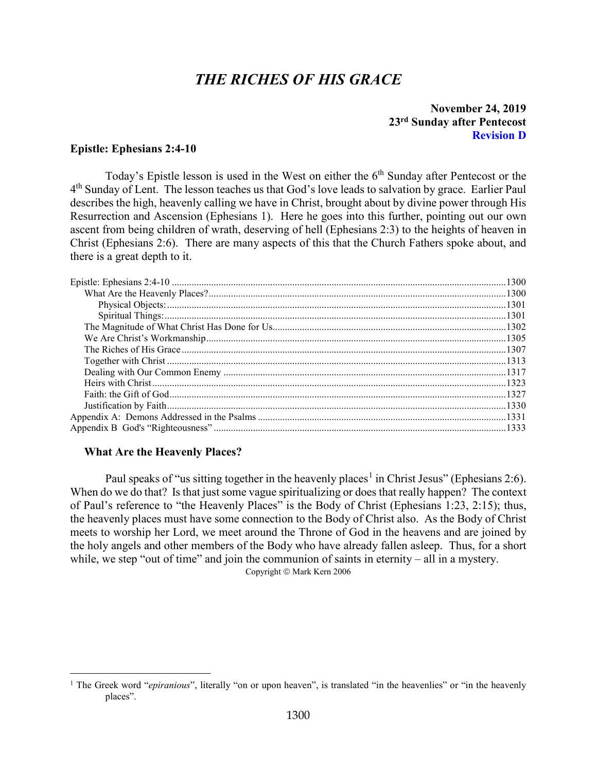# *THE RICHES OF HIS GRACE*

### **November 24, 2019 23rd Sunday after Pentecost Revision D**

#### <span id="page-0-0"></span>**Epistle: Ephesians 2:4-10**

Today's Epistle lesson is used in the West on either the  $6<sup>th</sup>$  Sunday after Pentecost or the 4th Sunday of Lent. The lesson teaches us that God's love leads to salvation by grace. Earlier Paul describes the high, heavenly calling we have in Christ, brought about by divine power through His Resurrection and Ascension (Ephesians 1). Here he goes into this further, pointing out our own ascent from being children of wrath, deserving of hell (Ephesians 2:3) to the heights of heaven in Christ (Ephesians 2:6). There are many aspects of this that the Church Fathers spoke about, and there is a great depth to it.

#### <span id="page-0-1"></span>**What Are the Heavenly Places?**

Paul speaks of "us sitting together in the heavenly places<sup>[1](#page-0-2)</sup> in Christ Jesus" (Ephesians 2:6). When do we do that? Is that just some vague spiritualizing or does that really happen? The context of Paul's reference to "the Heavenly Places" is the Body of Christ (Ephesians 1:23, 2:15); thus, the heavenly places must have some connection to the Body of Christ also. As the Body of Christ meets to worship her Lord, we meet around the Throne of God in the heavens and are joined by the holy angels and other members of the Body who have already fallen asleep. Thus, for a short while, we step "out of time" and join the communion of saints in eternity – all in a mystery.

Copyright © Mark Kern 2006

<span id="page-0-2"></span><sup>&</sup>lt;sup>1</sup> The Greek word "*epiranious*", literally "on or upon heaven", is translated "in the heavenlies" or "in the heavenly places".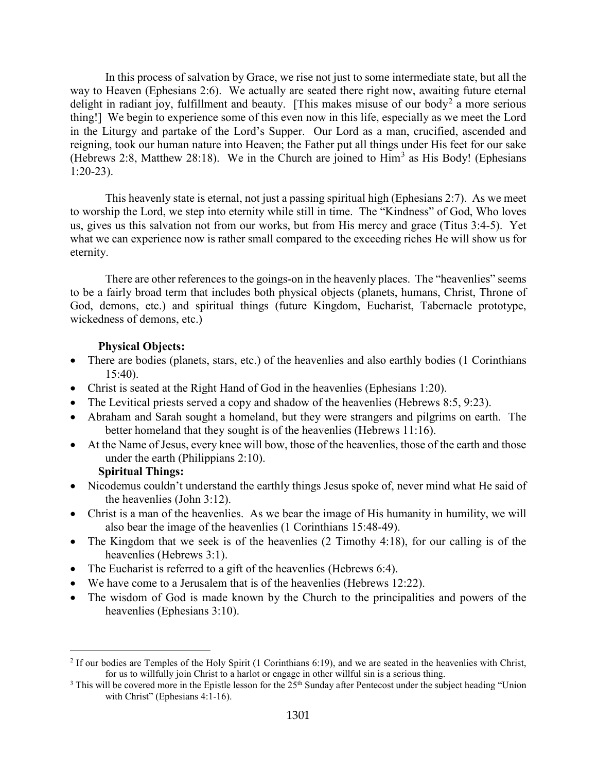In this process of salvation by Grace, we rise not just to some intermediate state, but all the way to Heaven (Ephesians 2:6). We actually are seated there right now, awaiting future eternal delight in radiant joy, fulfillment and beauty. [This makes misuse of our body<sup>[2](#page-1-2)</sup> a more serious thing!] We begin to experience some of this even now in this life, especially as we meet the Lord in the Liturgy and partake of the Lord's Supper. Our Lord as a man, crucified, ascended and reigning, took our human nature into Heaven; the Father put all things under His feet for our sake (Hebrews 2:8, Matthew 28:18). We in the Church are joined to  $\text{Him}^3$  $\text{Him}^3$  as His Body! (Ephesians 1:20-23).

This heavenly state is eternal, not just a passing spiritual high (Ephesians 2:7). As we meet to worship the Lord, we step into eternity while still in time. The "Kindness" of God, Who loves us, gives us this salvation not from our works, but from His mercy and grace (Titus 3:4-5). Yet what we can experience now is rather small compared to the exceeding riches He will show us for eternity.

There are other references to the goings-on in the heavenly places. The "heavenlies" seems to be a fairly broad term that includes both physical objects (planets, humans, Christ, Throne of God, demons, etc.) and spiritual things (future Kingdom, Eucharist, Tabernacle prototype, wickedness of demons, etc.)

## **Physical Objects:**

- <span id="page-1-0"></span>• There are bodies (planets, stars, etc.) of the heavenlies and also earthly bodies (1 Corinthians 15:40).
- Christ is seated at the Right Hand of God in the heavenlies (Ephesians 1:20).
- The Levitical priests served a copy and shadow of the heavenlies (Hebrews 8:5, 9:23).
- Abraham and Sarah sought a homeland, but they were strangers and pilgrims on earth. The better homeland that they sought is of the heavenlies (Hebrews 11:16).
- At the Name of Jesus, every knee will bow, those of the heavenlies, those of the earth and those under the earth (Philippians 2:10).

### **Spiritual Things:**

- <span id="page-1-1"></span>• Nicodemus couldn't understand the earthly things Jesus spoke of, never mind what He said of the heavenlies (John 3:12).
- Christ is a man of the heavenlies. As we bear the image of His humanity in humility, we will also bear the image of the heavenlies (1 Corinthians 15:48-49).
- The Kingdom that we seek is of the heavenlies (2 Timothy 4:18), for our calling is of the heavenlies (Hebrews 3:1).
- The Eucharist is referred to a gift of the heavenlies (Hebrews 6:4).
- We have come to a Jerusalem that is of the heavenlies (Hebrews 12:22).
- The wisdom of God is made known by the Church to the principalities and powers of the heavenlies (Ephesians 3:10).

<span id="page-1-2"></span><sup>&</sup>lt;sup>2</sup> If our bodies are Temples of the Holy Spirit (1 Corinthians 6:19), and we are seated in the heavenlies with Christ, for us to willfully join Christ to a harlot or engage in other willful sin is a serious thing.

<span id="page-1-3"></span> $3$  This will be covered more in the Epistle lesson for the  $25<sup>th</sup>$  Sunday after Pentecost under the subject heading "Union with Christ" (Ephesians 4:1-16).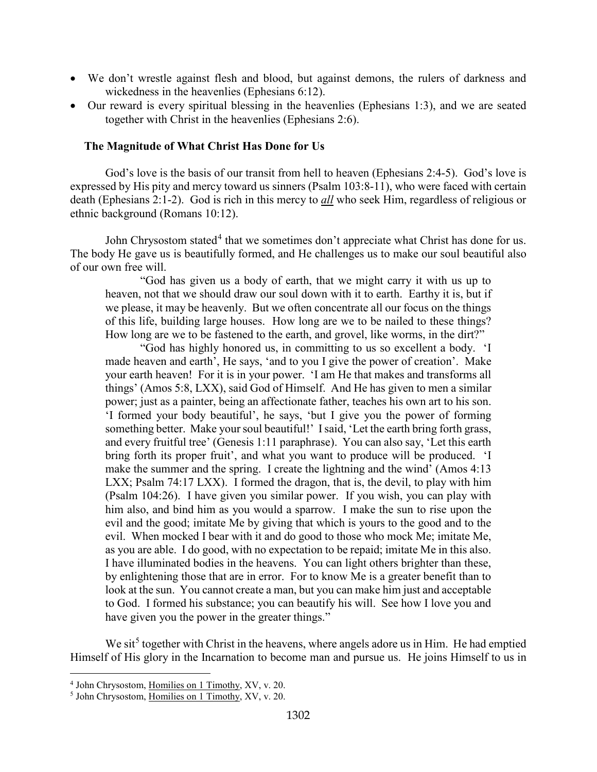- We don't wrestle against flesh and blood, but against demons, the rulers of darkness and wickedness in the heavenlies (Ephesians 6:12).
- Our reward is every spiritual blessing in the heavenlies (Ephesians 1:3), and we are seated together with Christ in the heavenlies (Ephesians 2:6).

#### <span id="page-2-0"></span>**The Magnitude of What Christ Has Done for Us**

God's love is the basis of our transit from hell to heaven (Ephesians 2:4-5). God's love is expressed by His pity and mercy toward us sinners (Psalm 103:8-11), who were faced with certain death (Ephesians 2:1-2). God is rich in this mercy to *all* who seek Him, regardless of religious or ethnic background (Romans 10:12).

John Chrysostom stated<sup>[4](#page-2-1)</sup> that we sometimes don't appreciate what Christ has done for us. The body He gave us is beautifully formed, and He challenges us to make our soul beautiful also of our own free will.

"God has given us a body of earth, that we might carry it with us up to heaven, not that we should draw our soul down with it to earth. Earthy it is, but if we please, it may be heavenly. But we often concentrate all our focus on the things of this life, building large houses. How long are we to be nailed to these things? How long are we to be fastened to the earth, and grovel, like worms, in the dirt?"

"God has highly honored us, in committing to us so excellent a body. 'I made heaven and earth', He says, 'and to you I give the power of creation'. Make your earth heaven! For it is in your power. 'I am He that makes and transforms all things' (Amos 5:8, LXX), said God of Himself. And He has given to men a similar power; just as a painter, being an affectionate father, teaches his own art to his son. 'I formed your body beautiful', he says, 'but I give you the power of forming something better. Make your soul beautiful!' I said, 'Let the earth bring forth grass, and every fruitful tree' (Genesis 1:11 paraphrase). You can also say, 'Let this earth bring forth its proper fruit', and what you want to produce will be produced. 'I make the summer and the spring. I create the lightning and the wind' (Amos 4:13 LXX; Psalm 74:17 LXX). I formed the dragon, that is, the devil, to play with him (Psalm 104:26). I have given you similar power. If you wish, you can play with him also, and bind him as you would a sparrow. I make the sun to rise upon the evil and the good; imitate Me by giving that which is yours to the good and to the evil. When mocked I bear with it and do good to those who mock Me; imitate Me, as you are able. I do good, with no expectation to be repaid; imitate Me in this also. I have illuminated bodies in the heavens. You can light others brighter than these, by enlightening those that are in error. For to know Me is a greater benefit than to look at the sun. You cannot create a man, but you can make him just and acceptable to God. I formed his substance; you can beautify his will. See how I love you and have given you the power in the greater things."

We sit<sup>[5](#page-2-2)</sup> together with Christ in the heavens, where angels adore us in Him. He had emptied Himself of His glory in the Incarnation to become man and pursue us. He joins Himself to us in

<span id="page-2-1"></span><sup>4</sup> John Chrysostom, Homilies on 1 Timothy, XV, v. 20.

<span id="page-2-2"></span><sup>5</sup> John Chrysostom, Homilies on 1 Timothy, XV, v. 20.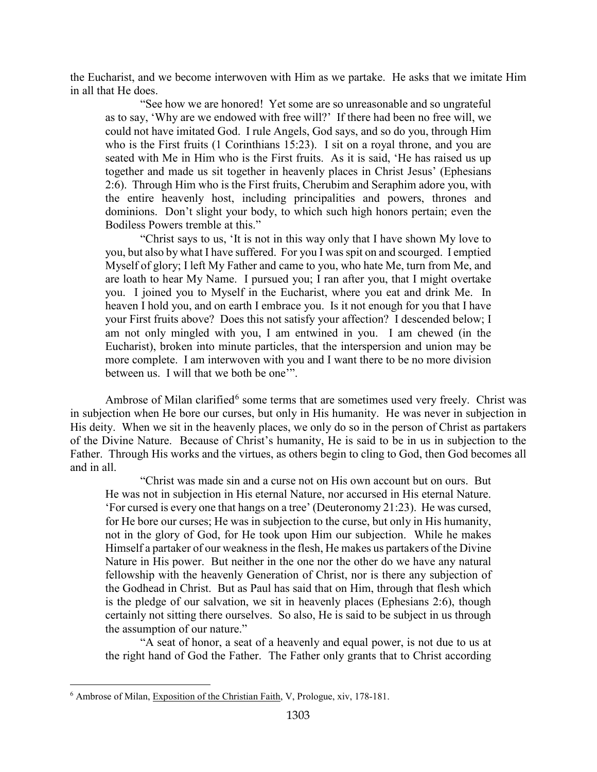the Eucharist, and we become interwoven with Him as we partake. He asks that we imitate Him in all that He does.

"See how we are honored! Yet some are so unreasonable and so ungrateful as to say, 'Why are we endowed with free will?' If there had been no free will, we could not have imitated God. I rule Angels, God says, and so do you, through Him who is the First fruits (1 Corinthians 15:23). I sit on a royal throne, and you are seated with Me in Him who is the First fruits. As it is said, 'He has raised us up together and made us sit together in heavenly places in Christ Jesus' (Ephesians 2:6). Through Him who is the First fruits, Cherubim and Seraphim adore you, with the entire heavenly host, including principalities and powers, thrones and dominions. Don't slight your body, to which such high honors pertain; even the Bodiless Powers tremble at this."

"Christ says to us, 'It is not in this way only that I have shown My love to you, but also by what I have suffered. For you I was spit on and scourged. I emptied Myself of glory; I left My Father and came to you, who hate Me, turn from Me, and are loath to hear My Name. I pursued you; I ran after you, that I might overtake you. I joined you to Myself in the Eucharist, where you eat and drink Me. In heaven I hold you, and on earth I embrace you. Is it not enough for you that I have your First fruits above? Does this not satisfy your affection? I descended below; I am not only mingled with you, I am entwined in you. I am chewed (in the Eucharist), broken into minute particles, that the interspersion and union may be more complete. I am interwoven with you and I want there to be no more division between us. I will that we both be one'".

Ambrose of Milan clarified<sup>[6](#page-3-0)</sup> some terms that are sometimes used very freely. Christ was in subjection when He bore our curses, but only in His humanity. He was never in subjection in His deity. When we sit in the heavenly places, we only do so in the person of Christ as partakers of the Divine Nature. Because of Christ's humanity, He is said to be in us in subjection to the Father. Through His works and the virtues, as others begin to cling to God, then God becomes all and in all.

"Christ was made sin and a curse not on His own account but on ours. But He was not in subjection in His eternal Nature, nor accursed in His eternal Nature. 'For cursed is every one that hangs on a tree' (Deuteronomy 21:23). He was cursed, for He bore our curses; He was in subjection to the curse, but only in His humanity, not in the glory of God, for He took upon Him our subjection. While he makes Himself a partaker of our weakness in the flesh, He makes us partakers of the Divine Nature in His power. But neither in the one nor the other do we have any natural fellowship with the heavenly Generation of Christ, nor is there any subjection of the Godhead in Christ. But as Paul has said that on Him, through that flesh which is the pledge of our salvation, we sit in heavenly places (Ephesians 2:6), though certainly not sitting there ourselves. So also, He is said to be subject in us through the assumption of our nature."

"A seat of honor, a seat of a heavenly and equal power, is not due to us at the right hand of God the Father. The Father only grants that to Christ according

<span id="page-3-0"></span><sup>6</sup> Ambrose of Milan, Exposition of the Christian Faith, V, Prologue, xiv, 178-181.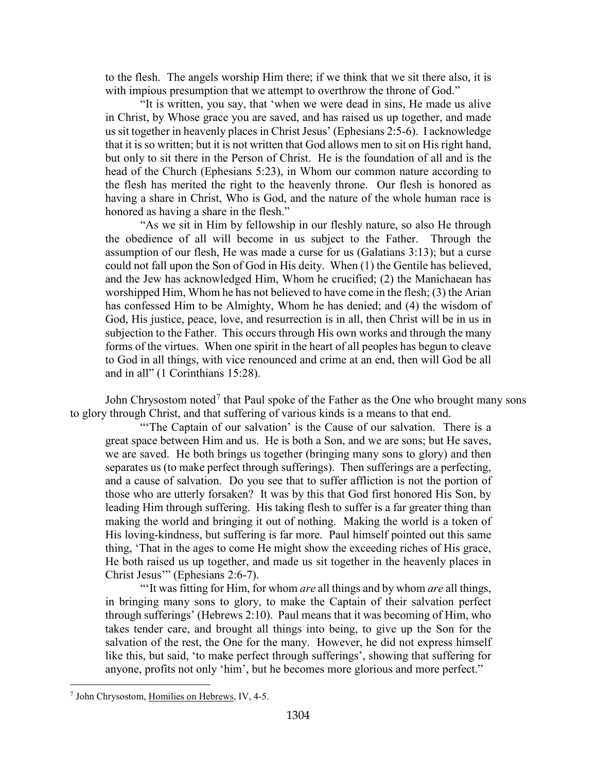to the flesh. The angels worship Him there; if we think that we sit there also, it is with impious presumption that we attempt to overthrow the throne of God."

"It is written, you say, that 'when we were dead in sins, He made us alive in Christ, by Whose grace you are saved, and has raised us up together, and made us sit together in heavenly places in Christ Jesus' (Ephesians 2:5-6). I acknowledge that it is so written; but it is not written that God allows men to sit on His right hand, but only to sit there in the Person of Christ. He is the foundation of all and is the head of the Church (Ephesians 5:23), in Whom our common nature according to the flesh has merited the right to the heavenly throne. Our flesh is honored as having a share in Christ, Who is God, and the nature of the whole human race is honored as having a share in the flesh."

"As we sit in Him by fellowship in our fleshly nature, so also He through the obedience of all will become in us subject to the Father. Through the assumption of our flesh, He was made a curse for us (Galatians 3:13); but a curse could not fall upon the Son of God in His deity. When (1) the Gentile has believed, and the Jew has acknowledged Him, Whom he crucified; (2) the Manichaean has worshipped Him, Whom he has not believed to have come in the flesh; (3) the Arian has confessed Him to be Almighty, Whom he has denied; and (4) the wisdom of God, His justice, peace, love, and resurrection is in all, then Christ will be in us in subjection to the Father. This occurs through His own works and through the many forms of the virtues. When one spirit in the heart of all peoples has begun to cleave to God in all things, with vice renounced and crime at an end, then will God be all and in all" (1 Corinthians 15:28).

John Chrysostom noted<sup>[7](#page-4-0)</sup> that Paul spoke of the Father as the One who brought many sons to glory through Christ, and that suffering of various kinds is a means to that end.

"The Captain of our salvation' is the Cause of our salvation. There is a great space between Him and us. He is both a Son, and we are sons; but He saves, we are saved. He both brings us together (bringing many sons to glory) and then separates us (to make perfect through sufferings). Then sufferings are a perfecting, and a cause of salvation. Do you see that to suffer affliction is not the portion of those who are utterly forsaken? It was by this that God first honored His Son, by leading Him through suffering. His taking flesh to suffer is a far greater thing than making the world and bringing it out of nothing. Making the world is a token of His loving-kindness, but suffering is far more. Paul himself pointed out this same thing, 'That in the ages to come He might show the exceeding riches of His grace, He both raised us up together, and made us sit together in the heavenly places in Christ Jesus'" (Ephesians 2:6-7).

"'It was fitting for Him, for whom *are* all things and by whom *are* all things, in bringing many sons to glory, to make the Captain of their salvation perfect through sufferings' (Hebrews 2:10). Paul means that it was becoming of Him, who takes tender care, and brought all things into being, to give up the Son for the salvation of the rest, the One for the many. However, he did not express himself like this, but said, 'to make perfect through sufferings', showing that suffering for anyone, profits not only 'him', but he becomes more glorious and more perfect."

<span id="page-4-0"></span><sup>7</sup> John Chrysostom, Homilies on Hebrews, IV, 4-5.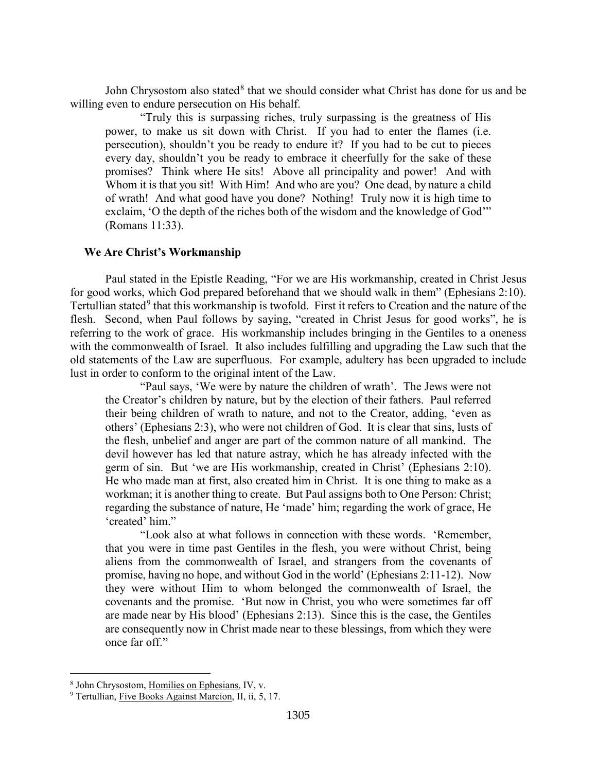John Chrysostom also stated<sup>[8](#page-5-1)</sup> that we should consider what Christ has done for us and be willing even to endure persecution on His behalf.

"Truly this is surpassing riches, truly surpassing is the greatness of His power, to make us sit down with Christ. If you had to enter the flames (i.e. persecution), shouldn't you be ready to endure it? If you had to be cut to pieces every day, shouldn't you be ready to embrace it cheerfully for the sake of these promises? Think where He sits! Above all principality and power! And with Whom it is that you sit! With Him! And who are you? One dead, by nature a child of wrath! And what good have you done? Nothing! Truly now it is high time to exclaim, 'O the depth of the riches both of the wisdom and the knowledge of God'" (Romans 11:33).

### <span id="page-5-0"></span>**We Are Christ's Workmanship**

Paul stated in the Epistle Reading, "For we are His workmanship, created in Christ Jesus for good works, which God prepared beforehand that we should walk in them" (Ephesians 2:10). Tertullian stated<sup>[9](#page-5-2)</sup> that this workmanship is twofold. First it refers to Creation and the nature of the flesh. Second, when Paul follows by saying, "created in Christ Jesus for good works", he is referring to the work of grace. His workmanship includes bringing in the Gentiles to a oneness with the commonwealth of Israel. It also includes fulfilling and upgrading the Law such that the old statements of the Law are superfluous. For example, adultery has been upgraded to include lust in order to conform to the original intent of the Law.

"Paul says, 'We were by nature the children of wrath'. The Jews were not the Creator's children by nature, but by the election of their fathers. Paul referred their being children of wrath to nature, and not to the Creator, adding, 'even as others' (Ephesians 2:3), who were not children of God. It is clear that sins, lusts of the flesh, unbelief and anger are part of the common nature of all mankind. The devil however has led that nature astray, which he has already infected with the germ of sin. But 'we are His workmanship, created in Christ' (Ephesians 2:10). He who made man at first, also created him in Christ. It is one thing to make as a workman; it is another thing to create. But Paul assigns both to One Person: Christ; regarding the substance of nature, He 'made' him; regarding the work of grace, He 'created' him."

"Look also at what follows in connection with these words. 'Remember, that you were in time past Gentiles in the flesh, you were without Christ, being aliens from the commonwealth of Israel, and strangers from the covenants of promise, having no hope, and without God in the world' (Ephesians 2:11-12). Now they were without Him to whom belonged the commonwealth of Israel, the covenants and the promise. 'But now in Christ, you who were sometimes far off are made near by His blood' (Ephesians 2:13). Since this is the case, the Gentiles are consequently now in Christ made near to these blessings, from which they were once far off."

<span id="page-5-1"></span><sup>&</sup>lt;sup>8</sup> John Chrysostom, <u>Homilies on Ephesians</u>, IV, v. 9 Tertullian, Five Books Against Marcion, II, ii, 5, 17.

<span id="page-5-2"></span>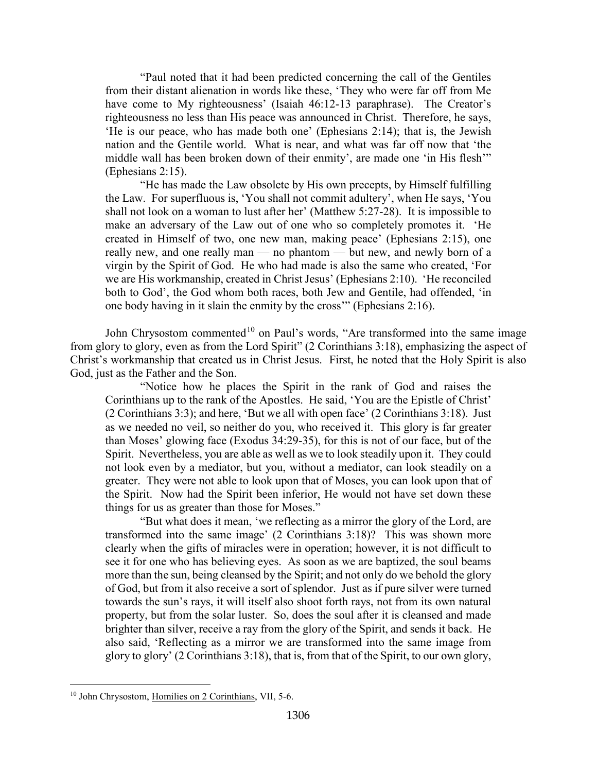"Paul noted that it had been predicted concerning the call of the Gentiles from their distant alienation in words like these, 'They who were far off from Me have come to My righteousness' (Isaiah 46:12-13 paraphrase). The Creator's righteousness no less than His peace was announced in Christ. Therefore, he says, 'He is our peace, who has made both one' (Ephesians 2:14); that is, the Jewish nation and the Gentile world. What is near, and what was far off now that 'the middle wall has been broken down of their enmity', are made one 'in His flesh'" (Ephesians 2:15).

"He has made the Law obsolete by His own precepts, by Himself fulfilling the Law. For superfluous is, 'You shall not commit adultery', when He says, 'You shall not look on a woman to lust after her' (Matthew 5:27-28). It is impossible to make an adversary of the Law out of one who so completely promotes it. 'He created in Himself of two, one new man, making peace' (Ephesians 2:15), one really new, and one really man — no phantom — but new, and newly born of a virgin by the Spirit of God. He who had made is also the same who created, 'For we are His workmanship, created in Christ Jesus' (Ephesians 2:10). 'He reconciled both to God', the God whom both races, both Jew and Gentile, had offended, 'in one body having in it slain the enmity by the cross'" (Ephesians 2:16).

John Chrysostom commented<sup>[10](#page-6-0)</sup> on Paul's words, "Are transformed into the same image from glory to glory, even as from the Lord Spirit" (2 Corinthians 3:18), emphasizing the aspect of Christ's workmanship that created us in Christ Jesus. First, he noted that the Holy Spirit is also God, just as the Father and the Son.

"Notice how he places the Spirit in the rank of God and raises the Corinthians up to the rank of the Apostles. He said, 'You are the Epistle of Christ' (2 Corinthians 3:3); and here, 'But we all with open face' (2 Corinthians 3:18). Just as we needed no veil, so neither do you, who received it. This glory is far greater than Moses' glowing face (Exodus 34:29-35), for this is not of our face, but of the Spirit. Nevertheless, you are able as well as we to look steadily upon it. They could not look even by a mediator, but you, without a mediator, can look steadily on a greater. They were not able to look upon that of Moses, you can look upon that of the Spirit. Now had the Spirit been inferior, He would not have set down these things for us as greater than those for Moses."

"But what does it mean, 'we reflecting as a mirror the glory of the Lord, are transformed into the same image' (2 Corinthians 3:18)? This was shown more clearly when the gifts of miracles were in operation; however, it is not difficult to see it for one who has believing eyes. As soon as we are baptized, the soul beams more than the sun, being cleansed by the Spirit; and not only do we behold the glory of God, but from it also receive a sort of splendor. Just as if pure silver were turned towards the sun's rays, it will itself also shoot forth rays, not from its own natural property, but from the solar luster. So, does the soul after it is cleansed and made brighter than silver, receive a ray from the glory of the Spirit, and sends it back. He also said, 'Reflecting as a mirror we are transformed into the same image from glory to glory' (2 Corinthians 3:18), that is, from that of the Spirit, to our own glory,

<span id="page-6-0"></span><sup>&</sup>lt;sup>10</sup> John Chrysostom, Homilies on 2 Corinthians, VII, 5-6.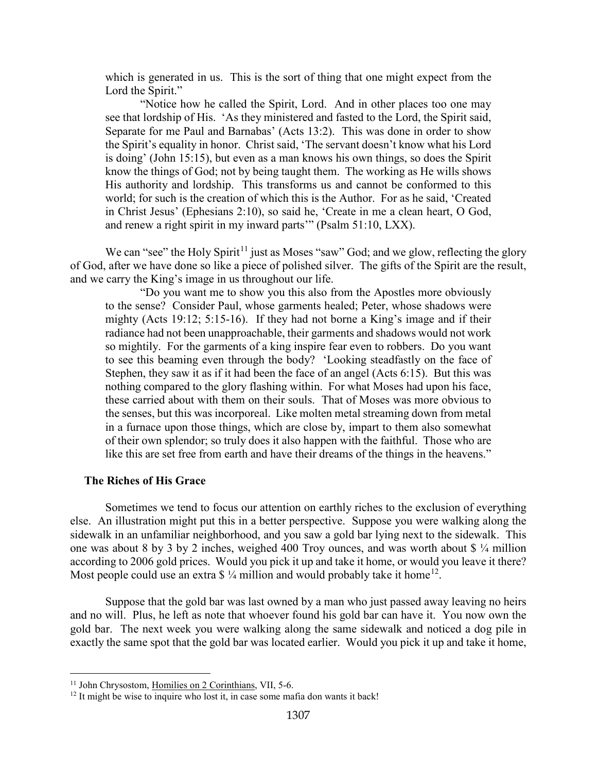which is generated in us. This is the sort of thing that one might expect from the Lord the Spirit."

"Notice how he called the Spirit, Lord. And in other places too one may see that lordship of His. 'As they ministered and fasted to the Lord, the Spirit said, Separate for me Paul and Barnabas' (Acts 13:2). This was done in order to show the Spirit's equality in honor. Christ said, 'The servant doesn't know what his Lord is doing' (John 15:15), but even as a man knows his own things, so does the Spirit know the things of God; not by being taught them. The working as He wills shows His authority and lordship. This transforms us and cannot be conformed to this world; for such is the creation of which this is the Author. For as he said, 'Created in Christ Jesus' (Ephesians 2:10), so said he, 'Create in me a clean heart, O God, and renew a right spirit in my inward parts'" (Psalm 51:10, LXX).

We can "see" the Holy Spirit<sup>[11](#page-7-1)</sup> just as Moses "saw" God; and we glow, reflecting the glory of God, after we have done so like a piece of polished silver. The gifts of the Spirit are the result, and we carry the King's image in us throughout our life.

"Do you want me to show you this also from the Apostles more obviously to the sense? Consider Paul, whose garments healed; Peter, whose shadows were mighty (Acts 19:12; 5:15-16). If they had not borne a King's image and if their radiance had not been unapproachable, their garments and shadows would not work so mightily. For the garments of a king inspire fear even to robbers. Do you want to see this beaming even through the body? 'Looking steadfastly on the face of Stephen, they saw it as if it had been the face of an angel (Acts 6:15). But this was nothing compared to the glory flashing within. For what Moses had upon his face, these carried about with them on their souls. That of Moses was more obvious to the senses, but this was incorporeal. Like molten metal streaming down from metal in a furnace upon those things, which are close by, impart to them also somewhat of their own splendor; so truly does it also happen with the faithful. Those who are like this are set free from earth and have their dreams of the things in the heavens."

#### <span id="page-7-0"></span>**The Riches of His Grace**

Sometimes we tend to focus our attention on earthly riches to the exclusion of everything else. An illustration might put this in a better perspective. Suppose you were walking along the sidewalk in an unfamiliar neighborhood, and you saw a gold bar lying next to the sidewalk. This one was about 8 by 3 by 2 inches, weighed 400 Troy ounces, and was worth about \$ ¼ million according to 2006 gold prices. Would you pick it up and take it home, or would you leave it there? Most people could use an extra  $\frac{1}{4}$  million and would probably take it home<sup>[12](#page-7-2)</sup>.

Suppose that the gold bar was last owned by a man who just passed away leaving no heirs and no will. Plus, he left as note that whoever found his gold bar can have it. You now own the gold bar. The next week you were walking along the same sidewalk and noticed a dog pile in exactly the same spot that the gold bar was located earlier. Would you pick it up and take it home,

<span id="page-7-1"></span><sup>&</sup>lt;sup>11</sup> John Chrysostom, Homilies on 2 Corinthians, VII, 5-6.

<span id="page-7-2"></span><sup>&</sup>lt;sup>12</sup> It might be wise to inquire who lost it, in case some mafia don wants it back!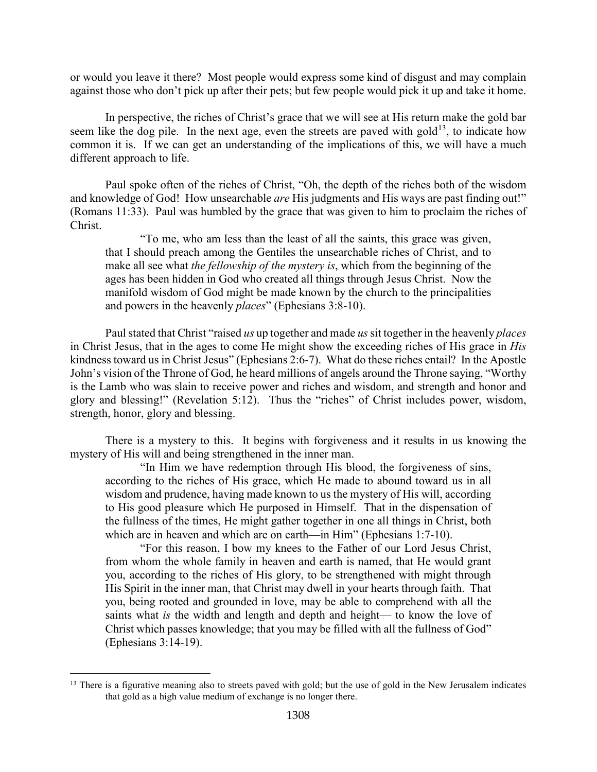or would you leave it there? Most people would express some kind of disgust and may complain against those who don't pick up after their pets; but few people would pick it up and take it home.

In perspective, the riches of Christ's grace that we will see at His return make the gold bar seem like the dog pile. In the next age, even the streets are paved with gold<sup>13</sup>, to indicate how common it is. If we can get an understanding of the implications of this, we will have a much different approach to life.

Paul spoke often of the riches of Christ, "Oh, the depth of the riches both of the wisdom and knowledge of God! How unsearchable *are* His judgments and His ways are past finding out!" (Romans 11:33). Paul was humbled by the grace that was given to him to proclaim the riches of Christ.

"To me, who am less than the least of all the saints, this grace was given, that I should preach among the Gentiles the unsearchable riches of Christ, and to make all see what *the fellowship of the mystery is*, which from the beginning of the ages has been hidden in God who created all things through Jesus Christ. Now the manifold wisdom of God might be made known by the church to the principalities and powers in the heavenly *places*" (Ephesians 3:8-10).

Paul stated that Christ "raised *us* up together and made *us*sit together in the heavenly *places* in Christ Jesus, that in the ages to come He might show the exceeding riches of His grace in *His* kindness toward us in Christ Jesus" (Ephesians 2:6-7). What do these riches entail? In the Apostle John's vision of the Throne of God, he heard millions of angels around the Throne saying, "Worthy is the Lamb who was slain to receive power and riches and wisdom, and strength and honor and glory and blessing!" (Revelation 5:12). Thus the "riches" of Christ includes power, wisdom, strength, honor, glory and blessing.

There is a mystery to this. It begins with forgiveness and it results in us knowing the mystery of His will and being strengthened in the inner man.

"In Him we have redemption through His blood, the forgiveness of sins, according to the riches of His grace, which He made to abound toward us in all wisdom and prudence, having made known to us the mystery of His will, according to His good pleasure which He purposed in Himself. That in the dispensation of the fullness of the times, He might gather together in one all things in Christ, both which are in heaven and which are on earth—in Him" (Ephesians 1:7-10).

"For this reason, I bow my knees to the Father of our Lord Jesus Christ, from whom the whole family in heaven and earth is named, that He would grant you, according to the riches of His glory, to be strengthened with might through His Spirit in the inner man, that Christ may dwell in your hearts through faith. That you, being rooted and grounded in love, may be able to comprehend with all the saints what *is* the width and length and depth and height— to know the love of Christ which passes knowledge; that you may be filled with all the fullness of God" (Ephesians 3:14-19).

<span id="page-8-0"></span> $13$  There is a figurative meaning also to streets paved with gold; but the use of gold in the New Jerusalem indicates that gold as a high value medium of exchange is no longer there.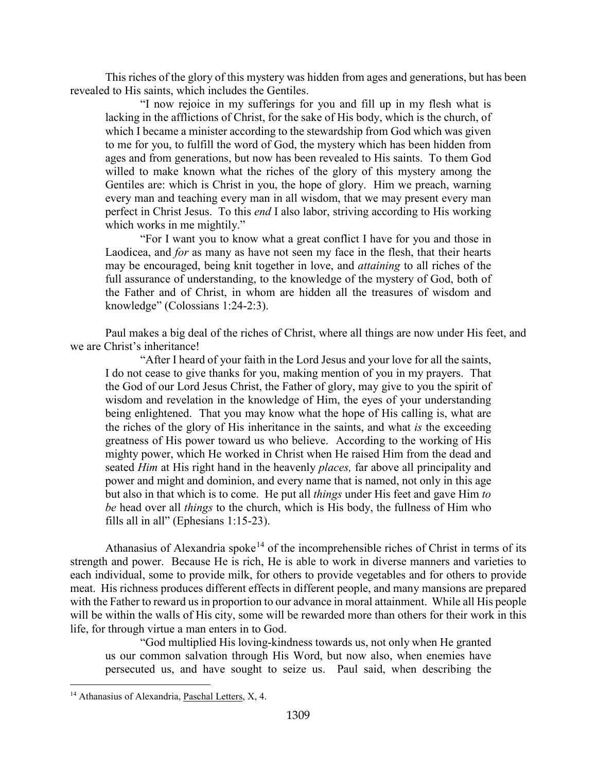This riches of the glory of this mystery was hidden from ages and generations, but has been revealed to His saints, which includes the Gentiles.

"I now rejoice in my sufferings for you and fill up in my flesh what is lacking in the afflictions of Christ, for the sake of His body, which is the church, of which I became a minister according to the stewardship from God which was given to me for you, to fulfill the word of God, the mystery which has been hidden from ages and from generations, but now has been revealed to His saints. To them God willed to make known what the riches of the glory of this mystery among the Gentiles are: which is Christ in you, the hope of glory. Him we preach, warning every man and teaching every man in all wisdom, that we may present every man perfect in Christ Jesus. To this *end* I also labor, striving according to His working which works in me mightily."

"For I want you to know what a great conflict I have for you and those in Laodicea, and *for* as many as have not seen my face in the flesh, that their hearts may be encouraged, being knit together in love, and *attaining* to all riches of the full assurance of understanding, to the knowledge of the mystery of God, both of the Father and of Christ, in whom are hidden all the treasures of wisdom and knowledge" (Colossians 1:24-2:3).

Paul makes a big deal of the riches of Christ, where all things are now under His feet, and we are Christ's inheritance!

"After I heard of your faith in the Lord Jesus and your love for all the saints, I do not cease to give thanks for you, making mention of you in my prayers. That the God of our Lord Jesus Christ, the Father of glory, may give to you the spirit of wisdom and revelation in the knowledge of Him, the eyes of your understanding being enlightened. That you may know what the hope of His calling is, what are the riches of the glory of His inheritance in the saints, and what *is* the exceeding greatness of His power toward us who believe. According to the working of His mighty power, which He worked in Christ when He raised Him from the dead and seated *Him* at His right hand in the heavenly *places,* far above all principality and power and might and dominion, and every name that is named, not only in this age but also in that which is to come. He put all *things* under His feet and gave Him *to be* head over all *things* to the church, which is His body, the fullness of Him who fills all in all" (Ephesians 1:15-23).

Athanasius of Alexandria spoke<sup>[14](#page-9-0)</sup> of the incomprehensible riches of Christ in terms of its strength and power. Because He is rich, He is able to work in diverse manners and varieties to each individual, some to provide milk, for others to provide vegetables and for others to provide meat. His richness produces different effects in different people, and many mansions are prepared with the Father to reward us in proportion to our advance in moral attainment. While all His people will be within the walls of His city, some will be rewarded more than others for their work in this life, for through virtue a man enters in to God.

"God multiplied His loving-kindness towards us, not only when He granted us our common salvation through His Word, but now also, when enemies have persecuted us, and have sought to seize us. Paul said, when describing the

<span id="page-9-0"></span><sup>&</sup>lt;sup>14</sup> Athanasius of Alexandria, Paschal Letters, X, 4.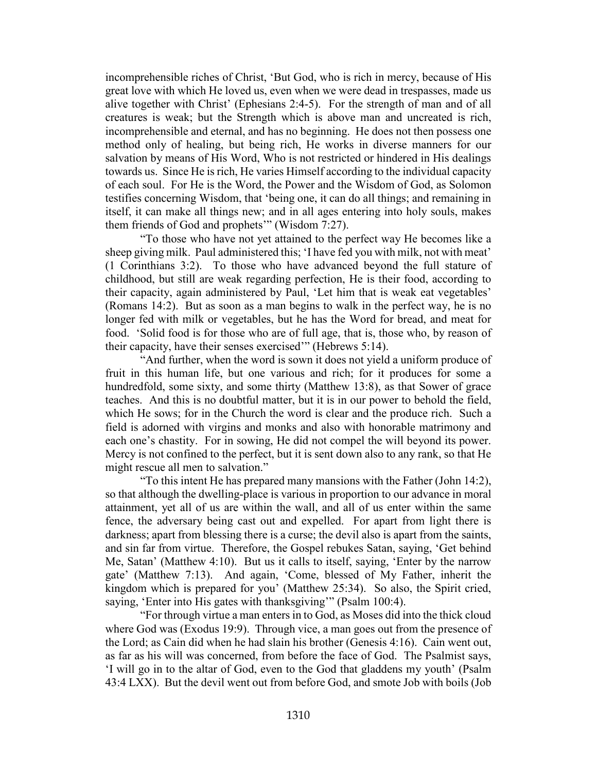incomprehensible riches of Christ, 'But God, who is rich in mercy, because of His great love with which He loved us, even when we were dead in trespasses, made us alive together with Christ' (Ephesians 2:4-5). For the strength of man and of all creatures is weak; but the Strength which is above man and uncreated is rich, incomprehensible and eternal, and has no beginning. He does not then possess one method only of healing, but being rich, He works in diverse manners for our salvation by means of His Word, Who is not restricted or hindered in His dealings towards us. Since He is rich, He varies Himself according to the individual capacity of each soul. For He is the Word, the Power and the Wisdom of God, as Solomon testifies concerning Wisdom, that 'being one, it can do all things; and remaining in itself, it can make all things new; and in all ages entering into holy souls, makes them friends of God and prophets'" (Wisdom 7:27).

"To those who have not yet attained to the perfect way He becomes like a sheep giving milk. Paul administered this; 'I have fed you with milk, not with meat' (1 Corinthians 3:2). To those who have advanced beyond the full stature of childhood, but still are weak regarding perfection, He is their food, according to their capacity, again administered by Paul, 'Let him that is weak eat vegetables' (Romans 14:2). But as soon as a man begins to walk in the perfect way, he is no longer fed with milk or vegetables, but he has the Word for bread, and meat for food. 'Solid food is for those who are of full age, that is, those who, by reason of their capacity, have their senses exercised'" (Hebrews 5:14).

"And further, when the word is sown it does not yield a uniform produce of fruit in this human life, but one various and rich; for it produces for some a hundredfold, some sixty, and some thirty (Matthew 13:8), as that Sower of grace teaches. And this is no doubtful matter, but it is in our power to behold the field, which He sows; for in the Church the word is clear and the produce rich. Such a field is adorned with virgins and monks and also with honorable matrimony and each one's chastity. For in sowing, He did not compel the will beyond its power. Mercy is not confined to the perfect, but it is sent down also to any rank, so that He might rescue all men to salvation."

"To this intent He has prepared many mansions with the Father (John 14:2), so that although the dwelling-place is various in proportion to our advance in moral attainment, yet all of us are within the wall, and all of us enter within the same fence, the adversary being cast out and expelled. For apart from light there is darkness; apart from blessing there is a curse; the devil also is apart from the saints, and sin far from virtue. Therefore, the Gospel rebukes Satan, saying, 'Get behind Me, Satan' (Matthew 4:10). But us it calls to itself, saying, 'Enter by the narrow gate' (Matthew 7:13). And again, 'Come, blessed of My Father, inherit the kingdom which is prepared for you' (Matthew 25:34). So also, the Spirit cried, saying, 'Enter into His gates with thanksgiving'" (Psalm 100:4).

"For through virtue a man enters in to God, as Moses did into the thick cloud where God was (Exodus 19:9). Through vice, a man goes out from the presence of the Lord; as Cain did when he had slain his brother (Genesis 4:16). Cain went out, as far as his will was concerned, from before the face of God. The Psalmist says, 'I will go in to the altar of God, even to the God that gladdens my youth' (Psalm 43:4 LXX). But the devil went out from before God, and smote Job with boils (Job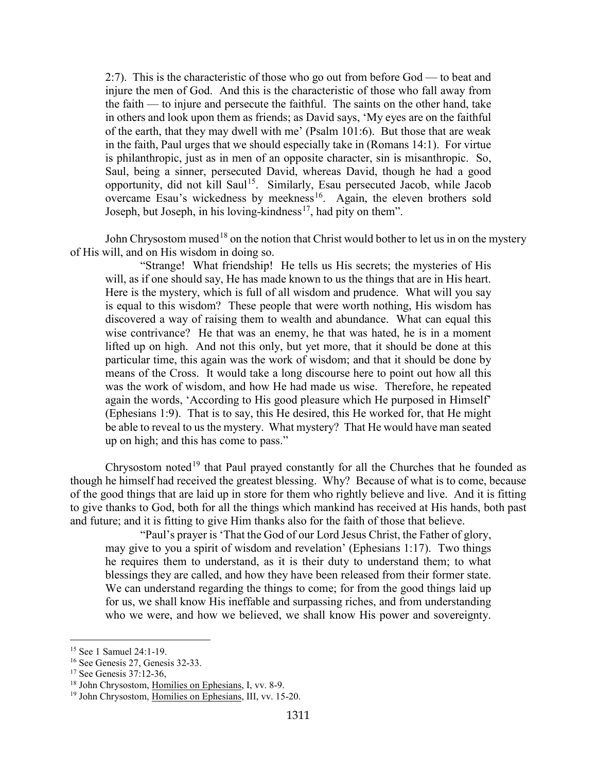2:7). This is the characteristic of those who go out from before God — to beat and injure the men of God. And this is the characteristic of those who fall away from the faith — to injure and persecute the faithful. The saints on the other hand, take in others and look upon them as friends; as David says, 'My eyes are on the faithful of the earth, that they may dwell with me' (Psalm 101:6). But those that are weak in the faith, Paul urges that we should especially take in (Romans 14:1). For virtue is philanthropic, just as in men of an opposite character, sin is misanthropic. So, Saul, being a sinner, persecuted David, whereas David, though he had a good opportunity, did not kill Saul<sup>[15](#page-11-0)</sup>. Similarly, Esau persecuted Jacob, while Jacob overcame Esau's wickedness by meekness<sup>[16](#page-11-1)</sup>. Again, the eleven brothers sold Joseph, but Joseph, in his loving-kindness<sup>[17](#page-11-2)</sup>, had pity on them".

John Chrysostom mused<sup>[18](#page-11-3)</sup> on the notion that Christ would bother to let us in on the mystery of His will, and on His wisdom in doing so.

"Strange! What friendship! He tells us His secrets; the mysteries of His will, as if one should say, He has made known to us the things that are in His heart. Here is the mystery, which is full of all wisdom and prudence. What will you say is equal to this wisdom? These people that were worth nothing, His wisdom has discovered a way of raising them to wealth and abundance. What can equal this wise contrivance? He that was an enemy, he that was hated, he is in a moment lifted up on high. And not this only, but yet more, that it should be done at this particular time, this again was the work of wisdom; and that it should be done by means of the Cross. It would take a long discourse here to point out how all this was the work of wisdom, and how He had made us wise. Therefore, he repeated again the words, 'According to His good pleasure which He purposed in Himself' (Ephesians 1:9). That is to say, this He desired, this He worked for, that He might be able to reveal to us the mystery. What mystery? That He would have man seated up on high; and this has come to pass."

Chrysostom noted<sup>[19](#page-11-4)</sup> that Paul prayed constantly for all the Churches that he founded as though he himself had received the greatest blessing. Why? Because of what is to come, because of the good things that are laid up in store for them who rightly believe and live. And it is fitting to give thanks to God, both for all the things which mankind has received at His hands, both past and future; and it is fitting to give Him thanks also for the faith of those that believe.

"Paul's prayer is 'That the God of our Lord Jesus Christ, the Father of glory, may give to you a spirit of wisdom and revelation' (Ephesians 1:17). Two things he requires them to understand, as it is their duty to understand them; to what blessings they are called, and how they have been released from their former state. We can understand regarding the things to come; for from the good things laid up for us, we shall know His ineffable and surpassing riches, and from understanding who we were, and how we believed, we shall know His power and sovereignty.

<span id="page-11-0"></span><sup>&</sup>lt;sup>15</sup> See 1 Samuel 24:1-19.

<span id="page-11-1"></span><sup>&</sup>lt;sup>16</sup> See Genesis 27, Genesis 32-33.<br><sup>17</sup> See Genesis 37:12-36.

<span id="page-11-3"></span><span id="page-11-2"></span><sup>&</sup>lt;sup>18</sup> John Chrysostom, Homilies on Ephesians, I, vv. 8-9.

<span id="page-11-4"></span><sup>19</sup> John Chrysostom, Homilies on Ephesians, III, vv. 15-20.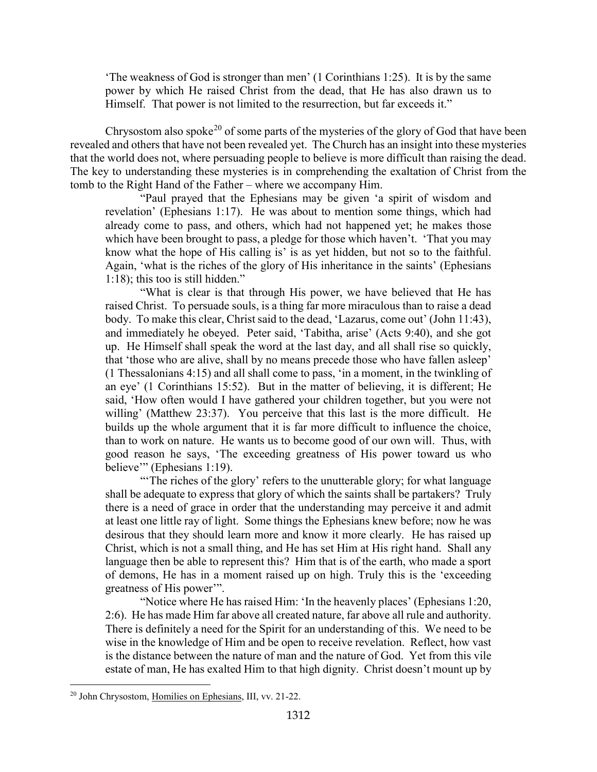'The weakness of God is stronger than men' (1 Corinthians 1:25). It is by the same power by which He raised Christ from the dead, that He has also drawn us to Himself. That power is not limited to the resurrection, but far exceeds it."

Chrysostom also spoke<sup>[20](#page-12-0)</sup> of some parts of the mysteries of the glory of God that have been revealed and others that have not been revealed yet. The Church has an insight into these mysteries that the world does not, where persuading people to believe is more difficult than raising the dead. The key to understanding these mysteries is in comprehending the exaltation of Christ from the tomb to the Right Hand of the Father – where we accompany Him.

"Paul prayed that the Ephesians may be given 'a spirit of wisdom and revelation' (Ephesians 1:17). He was about to mention some things, which had already come to pass, and others, which had not happened yet; he makes those which have been brought to pass, a pledge for those which haven't. 'That you may know what the hope of His calling is' is as yet hidden, but not so to the faithful. Again, 'what is the riches of the glory of His inheritance in the saints' (Ephesians 1:18); this too is still hidden."

"What is clear is that through His power, we have believed that He has raised Christ. To persuade souls, is a thing far more miraculous than to raise a dead body. To make this clear, Christ said to the dead, 'Lazarus, come out' (John 11:43), and immediately he obeyed. Peter said, 'Tabitha, arise' (Acts 9:40), and she got up. He Himself shall speak the word at the last day, and all shall rise so quickly, that 'those who are alive, shall by no means precede those who have fallen asleep' (1 Thessalonians 4:15) and all shall come to pass, 'in a moment, in the twinkling of an eye' (1 Corinthians 15:52). But in the matter of believing, it is different; He said, 'How often would I have gathered your children together, but you were not willing' (Matthew 23:37). You perceive that this last is the more difficult. He builds up the whole argument that it is far more difficult to influence the choice, than to work on nature. He wants us to become good of our own will. Thus, with good reason he says, 'The exceeding greatness of His power toward us who believe'" (Ephesians 1:19).

"The riches of the glory' refers to the unutterable glory; for what language shall be adequate to express that glory of which the saints shall be partakers? Truly there is a need of grace in order that the understanding may perceive it and admit at least one little ray of light. Some things the Ephesians knew before; now he was desirous that they should learn more and know it more clearly. He has raised up Christ, which is not a small thing, and He has set Him at His right hand. Shall any language then be able to represent this? Him that is of the earth, who made a sport of demons, He has in a moment raised up on high. Truly this is the 'exceeding greatness of His power'".

"Notice where He has raised Him: 'In the heavenly places' (Ephesians 1:20, 2:6). He has made Him far above all created nature, far above all rule and authority. There is definitely a need for the Spirit for an understanding of this. We need to be wise in the knowledge of Him and be open to receive revelation. Reflect, how vast is the distance between the nature of man and the nature of God. Yet from this vile estate of man, He has exalted Him to that high dignity. Christ doesn't mount up by

<span id="page-12-0"></span><sup>20</sup> John Chrysostom, Homilies on Ephesians, III, vv. 21-22.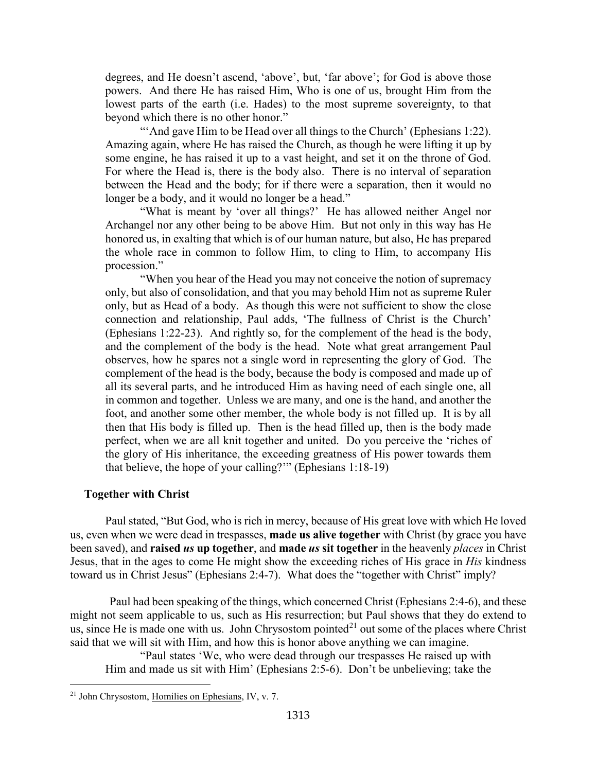degrees, and He doesn't ascend, 'above', but, 'far above'; for God is above those powers. And there He has raised Him, Who is one of us, brought Him from the lowest parts of the earth (i.e. Hades) to the most supreme sovereignty, to that beyond which there is no other honor."

"'And gave Him to be Head over all things to the Church' (Ephesians 1:22). Amazing again, where He has raised the Church, as though he were lifting it up by some engine, he has raised it up to a vast height, and set it on the throne of God. For where the Head is, there is the body also. There is no interval of separation between the Head and the body; for if there were a separation, then it would no longer be a body, and it would no longer be a head."

"What is meant by 'over all things?' He has allowed neither Angel nor Archangel nor any other being to be above Him. But not only in this way has He honored us, in exalting that which is of our human nature, but also, He has prepared the whole race in common to follow Him, to cling to Him, to accompany His procession."

"When you hear of the Head you may not conceive the notion of supremacy only, but also of consolidation, and that you may behold Him not as supreme Ruler only, but as Head of a body. As though this were not sufficient to show the close connection and relationship, Paul adds, 'The fullness of Christ is the Church' (Ephesians 1:22-23). And rightly so, for the complement of the head is the body, and the complement of the body is the head. Note what great arrangement Paul observes, how he spares not a single word in representing the glory of God. The complement of the head is the body, because the body is composed and made up of all its several parts, and he introduced Him as having need of each single one, all in common and together. Unless we are many, and one is the hand, and another the foot, and another some other member, the whole body is not filled up. It is by all then that His body is filled up. Then is the head filled up, then is the body made perfect, when we are all knit together and united. Do you perceive the 'riches of the glory of His inheritance, the exceeding greatness of His power towards them that believe, the hope of your calling?'" (Ephesians 1:18-19)

#### <span id="page-13-0"></span>**Together with Christ**

Paul stated, "But God, who is rich in mercy, because of His great love with which He loved us, even when we were dead in trespasses, **made us alive together** with Christ (by grace you have been saved), and **raised** *us* **up together**, and **made** *us* **sit together** in the heavenly *places* in Christ Jesus, that in the ages to come He might show the exceeding riches of His grace in *His* kindness toward us in Christ Jesus" (Ephesians 2:4-7). What does the "together with Christ" imply?

Paul had been speaking of the things, which concerned Christ (Ephesians 2:4-6), and these might not seem applicable to us, such as His resurrection; but Paul shows that they do extend to us, since He is made one with us. John Chrysostom pointed<sup>[21](#page-13-1)</sup> out some of the places where Christ said that we will sit with Him, and how this is honor above anything we can imagine.

"Paul states 'We, who were dead through our trespasses He raised up with Him and made us sit with Him' (Ephesians 2:5-6). Don't be unbelieving; take the

<span id="page-13-1"></span><sup>21</sup> John Chrysostom, Homilies on Ephesians, IV, v. 7.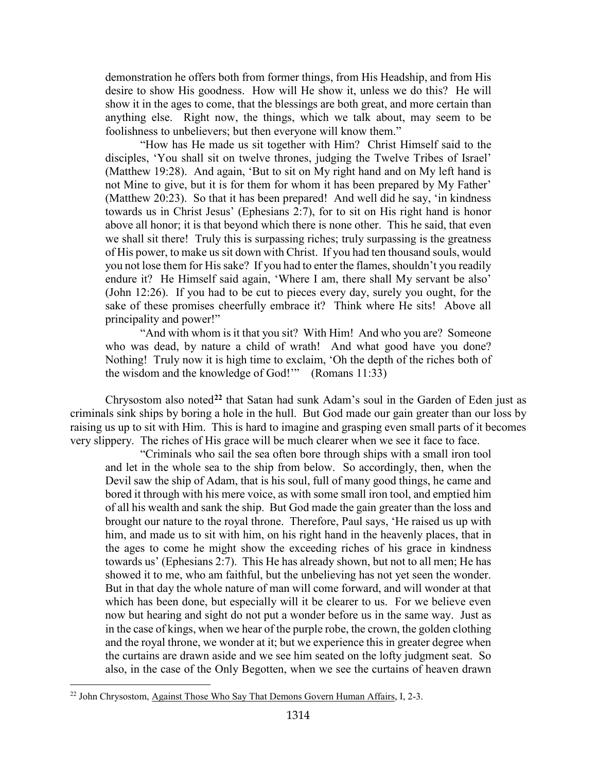demonstration he offers both from former things, from His Headship, and from His desire to show His goodness. How will He show it, unless we do this? He will show it in the ages to come, that the blessings are both great, and more certain than anything else. Right now, the things, which we talk about, may seem to be foolishness to unbelievers; but then everyone will know them."

"How has He made us sit together with Him? Christ Himself said to the disciples, 'You shall sit on twelve thrones, judging the Twelve Tribes of Israel' (Matthew 19:28). And again, 'But to sit on My right hand and on My left hand is not Mine to give, but it is for them for whom it has been prepared by My Father' (Matthew 20:23). So that it has been prepared! And well did he say, 'in kindness towards us in Christ Jesus' (Ephesians 2:7), for to sit on His right hand is honor above all honor; it is that beyond which there is none other. This he said, that even we shall sit there! Truly this is surpassing riches; truly surpassing is the greatness of His power, to make us sit down with Christ. If you had ten thousand souls, would you not lose them for His sake? If you had to enter the flames, shouldn't you readily endure it? He Himself said again, 'Where I am, there shall My servant be also' (John 12:26). If you had to be cut to pieces every day, surely you ought, for the sake of these promises cheerfully embrace it? Think where He sits! Above all principality and power!"

"And with whom is it that you sit? With Him! And who you are? Someone who was dead, by nature a child of wrath! And what good have you done? Nothing! Truly now it is high time to exclaim, 'Oh the depth of the riches both of the wisdom and the knowledge of God!'" (Romans 11:33)

Chrysostom also noted**[22](#page-14-0)** that Satan had sunk Adam's soul in the Garden of Eden just as criminals sink ships by boring a hole in the hull. But God made our gain greater than our loss by raising us up to sit with Him. This is hard to imagine and grasping even small parts of it becomes very slippery. The riches of His grace will be much clearer when we see it face to face.

"Criminals who sail the sea often bore through ships with a small iron tool and let in the whole sea to the ship from below. So accordingly, then, when the Devil saw the ship of Adam, that is his soul, full of many good things, he came and bored it through with his mere voice, as with some small iron tool, and emptied him of all his wealth and sank the ship. But God made the gain greater than the loss and brought our nature to the royal throne. Therefore, Paul says, 'He raised us up with him, and made us to sit with him, on his right hand in the heavenly places, that in the ages to come he might show the exceeding riches of his grace in kindness towards us' (Ephesians 2:7). This He has already shown, but not to all men; He has showed it to me, who am faithful, but the unbelieving has not yet seen the wonder. But in that day the whole nature of man will come forward, and will wonder at that which has been done, but especially will it be clearer to us. For we believe even now but hearing and sight do not put a wonder before us in the same way. Just as in the case of kings, when we hear of the purple robe, the crown, the golden clothing and the royal throne, we wonder at it; but we experience this in greater degree when the curtains are drawn aside and we see him seated on the lofty judgment seat. So also, in the case of the Only Begotten, when we see the curtains of heaven drawn

<span id="page-14-0"></span><sup>&</sup>lt;sup>22</sup> John Chrysostom, Against Those Who Say That Demons Govern Human Affairs, I, 2-3.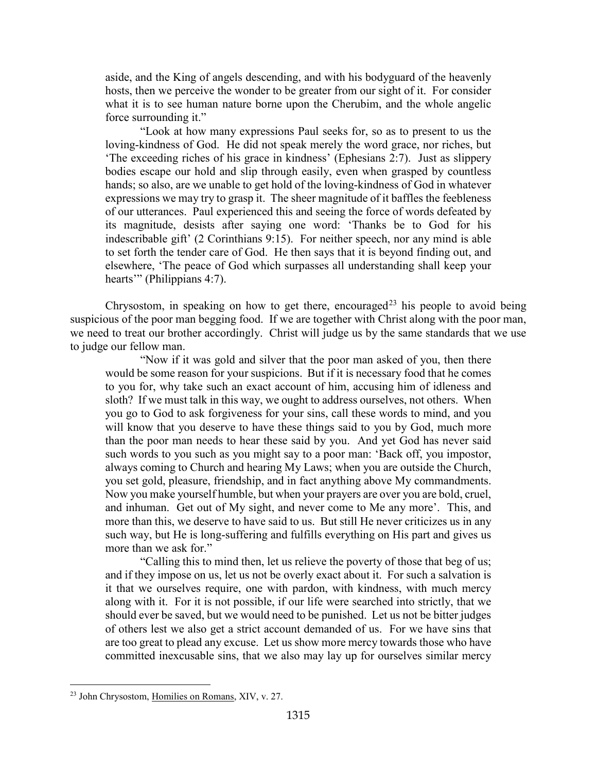aside, and the King of angels descending, and with his bodyguard of the heavenly hosts, then we perceive the wonder to be greater from our sight of it. For consider what it is to see human nature borne upon the Cherubim, and the whole angelic force surrounding it."

"Look at how many expressions Paul seeks for, so as to present to us the loving-kindness of God. He did not speak merely the word grace, nor riches, but 'The exceeding riches of his grace in kindness' (Ephesians 2:7). Just as slippery bodies escape our hold and slip through easily, even when grasped by countless hands; so also, are we unable to get hold of the loving-kindness of God in whatever expressions we may try to grasp it. The sheer magnitude of it baffles the feebleness of our utterances. Paul experienced this and seeing the force of words defeated by its magnitude, desists after saying one word: 'Thanks be to God for his indescribable gift' (2 Corinthians 9:15). For neither speech, nor any mind is able to set forth the tender care of God. He then says that it is beyond finding out, and elsewhere, 'The peace of God which surpasses all understanding shall keep your hearts'" (Philippians 4:7).

Chrysostom, in speaking on how to get there, encouraged<sup>[23](#page-15-0)</sup> his people to avoid being suspicious of the poor man begging food. If we are together with Christ along with the poor man, we need to treat our brother accordingly. Christ will judge us by the same standards that we use to judge our fellow man.

"Now if it was gold and silver that the poor man asked of you, then there would be some reason for your suspicions. But if it is necessary food that he comes to you for, why take such an exact account of him, accusing him of idleness and sloth? If we must talk in this way, we ought to address ourselves, not others. When you go to God to ask forgiveness for your sins, call these words to mind, and you will know that you deserve to have these things said to you by God, much more than the poor man needs to hear these said by you. And yet God has never said such words to you such as you might say to a poor man: 'Back off, you impostor, always coming to Church and hearing My Laws; when you are outside the Church, you set gold, pleasure, friendship, and in fact anything above My commandments. Now you make yourself humble, but when your prayers are over you are bold, cruel, and inhuman. Get out of My sight, and never come to Me any more'. This, and more than this, we deserve to have said to us. But still He never criticizes us in any such way, but He is long-suffering and fulfills everything on His part and gives us more than we ask for."

"Calling this to mind then, let us relieve the poverty of those that beg of us; and if they impose on us, let us not be overly exact about it. For such a salvation is it that we ourselves require, one with pardon, with kindness, with much mercy along with it. For it is not possible, if our life were searched into strictly, that we should ever be saved, but we would need to be punished. Let us not be bitter judges of others lest we also get a strict account demanded of us. For we have sins that are too great to plead any excuse. Let us show more mercy towards those who have committed inexcusable sins, that we also may lay up for ourselves similar mercy

<span id="page-15-0"></span><sup>23</sup> John Chrysostom, Homilies on Romans, XIV, v. 27.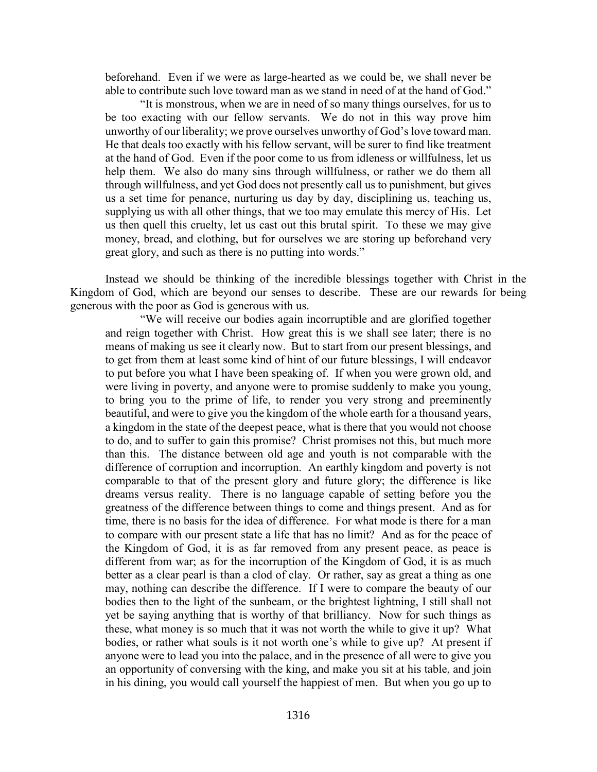beforehand. Even if we were as large-hearted as we could be, we shall never be able to contribute such love toward man as we stand in need of at the hand of God."

"It is monstrous, when we are in need of so many things ourselves, for us to be too exacting with our fellow servants. We do not in this way prove him unworthy of our liberality; we prove ourselves unworthy of God's love toward man. He that deals too exactly with his fellow servant, will be surer to find like treatment at the hand of God. Even if the poor come to us from idleness or willfulness, let us help them. We also do many sins through willfulness, or rather we do them all through willfulness, and yet God does not presently call us to punishment, but gives us a set time for penance, nurturing us day by day, disciplining us, teaching us, supplying us with all other things, that we too may emulate this mercy of His. Let us then quell this cruelty, let us cast out this brutal spirit. To these we may give money, bread, and clothing, but for ourselves we are storing up beforehand very great glory, and such as there is no putting into words."

Instead we should be thinking of the incredible blessings together with Christ in the Kingdom of God, which are beyond our senses to describe. These are our rewards for being generous with the poor as God is generous with us.

"We will receive our bodies again incorruptible and are glorified together and reign together with Christ. How great this is we shall see later; there is no means of making us see it clearly now. But to start from our present blessings, and to get from them at least some kind of hint of our future blessings, I will endeavor to put before you what I have been speaking of. If when you were grown old, and were living in poverty, and anyone were to promise suddenly to make you young, to bring you to the prime of life, to render you very strong and preeminently beautiful, and were to give you the kingdom of the whole earth for a thousand years, a kingdom in the state of the deepest peace, what is there that you would not choose to do, and to suffer to gain this promise? Christ promises not this, but much more than this. The distance between old age and youth is not comparable with the difference of corruption and incorruption. An earthly kingdom and poverty is not comparable to that of the present glory and future glory; the difference is like dreams versus reality. There is no language capable of setting before you the greatness of the difference between things to come and things present. And as for time, there is no basis for the idea of difference. For what mode is there for a man to compare with our present state a life that has no limit? And as for the peace of the Kingdom of God, it is as far removed from any present peace, as peace is different from war; as for the incorruption of the Kingdom of God, it is as much better as a clear pearl is than a clod of clay. Or rather, say as great a thing as one may, nothing can describe the difference. If I were to compare the beauty of our bodies then to the light of the sunbeam, or the brightest lightning, I still shall not yet be saying anything that is worthy of that brilliancy. Now for such things as these, what money is so much that it was not worth the while to give it up? What bodies, or rather what souls is it not worth one's while to give up? At present if anyone were to lead you into the palace, and in the presence of all were to give you an opportunity of conversing with the king, and make you sit at his table, and join in his dining, you would call yourself the happiest of men. But when you go up to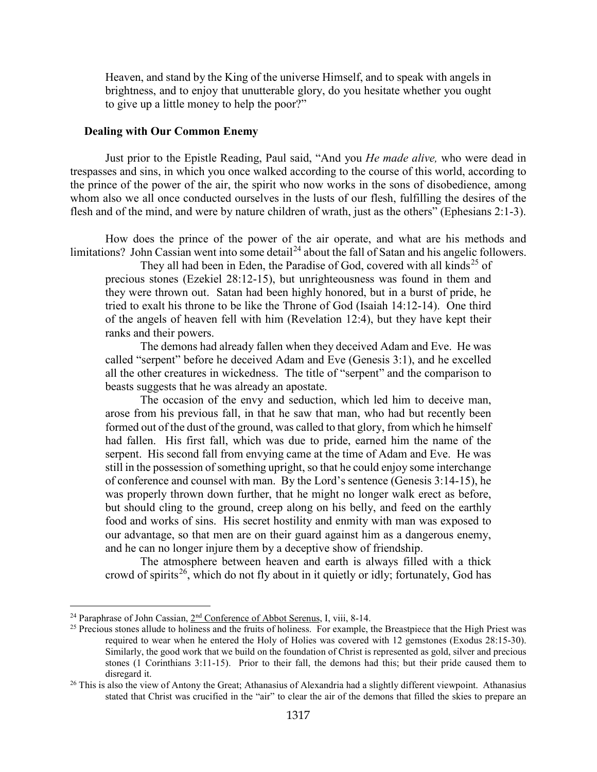Heaven, and stand by the King of the universe Himself, and to speak with angels in brightness, and to enjoy that unutterable glory, do you hesitate whether you ought to give up a little money to help the poor?"

#### <span id="page-17-0"></span>**Dealing with Our Common Enemy**

Just prior to the Epistle Reading, Paul said, "And you *He made alive,* who were dead in trespasses and sins, in which you once walked according to the course of this world, according to the prince of the power of the air, the spirit who now works in the sons of disobedience, among whom also we all once conducted ourselves in the lusts of our flesh, fulfilling the desires of the flesh and of the mind, and were by nature children of wrath, just as the others" (Ephesians 2:1-3).

How does the prince of the power of the air operate, and what are his methods and limitations? John Cassian went into some detail<sup>[24](#page-17-1)</sup> about the fall of Satan and his angelic followers.

They all had been in Eden, the Paradise of God, covered with all kinds<sup>[25](#page-17-2)</sup> of precious stones (Ezekiel 28:12-15), but unrighteousness was found in them and they were thrown out. Satan had been highly honored, but in a burst of pride, he tried to exalt his throne to be like the Throne of God (Isaiah 14:12-14). One third of the angels of heaven fell with him (Revelation 12:4), but they have kept their ranks and their powers.

The demons had already fallen when they deceived Adam and Eve. He was called "serpent" before he deceived Adam and Eve (Genesis 3:1), and he excelled all the other creatures in wickedness. The title of "serpent" and the comparison to beasts suggests that he was already an apostate.

The occasion of the envy and seduction, which led him to deceive man, arose from his previous fall, in that he saw that man, who had but recently been formed out of the dust of the ground, was called to that glory, from which he himself had fallen. His first fall, which was due to pride, earned him the name of the serpent. His second fall from envying came at the time of Adam and Eve. He was still in the possession of something upright, so that he could enjoy some interchange of conference and counsel with man. By the Lord's sentence (Genesis 3:14-15), he was properly thrown down further, that he might no longer walk erect as before, but should cling to the ground, creep along on his belly, and feed on the earthly food and works of sins. His secret hostility and enmity with man was exposed to our advantage, so that men are on their guard against him as a dangerous enemy, and he can no longer injure them by a deceptive show of friendship.

The atmosphere between heaven and earth is always filled with a thick crowd of spirits<sup>[26](#page-17-3)</sup>, which do not fly about in it quietly or idly; fortunately, God has

<span id="page-17-1"></span><sup>&</sup>lt;sup>24</sup> Paraphrase of John Cassian,  $2<sup>nd</sup>$  Conference of Abbot Serenus, I, viii, 8-14.

<span id="page-17-2"></span><sup>&</sup>lt;sup>25</sup> Precious stones allude to holiness and the fruits of holiness. For example, the Breastpiece that the High Priest was required to wear when he entered the Holy of Holies was covered with 12 gemstones (Exodus 28:15-30). Similarly, the good work that we build on the foundation of Christ is represented as gold, silver and precious stones (1 Corinthians 3:11-15). Prior to their fall, the demons had this; but their pride caused them to disregard it.

<span id="page-17-3"></span><sup>&</sup>lt;sup>26</sup> This is also the view of Antony the Great; Athanasius of Alexandria had a slightly different viewpoint. Athanasius stated that Christ was crucified in the "air" to clear the air of the demons that filled the skies to prepare an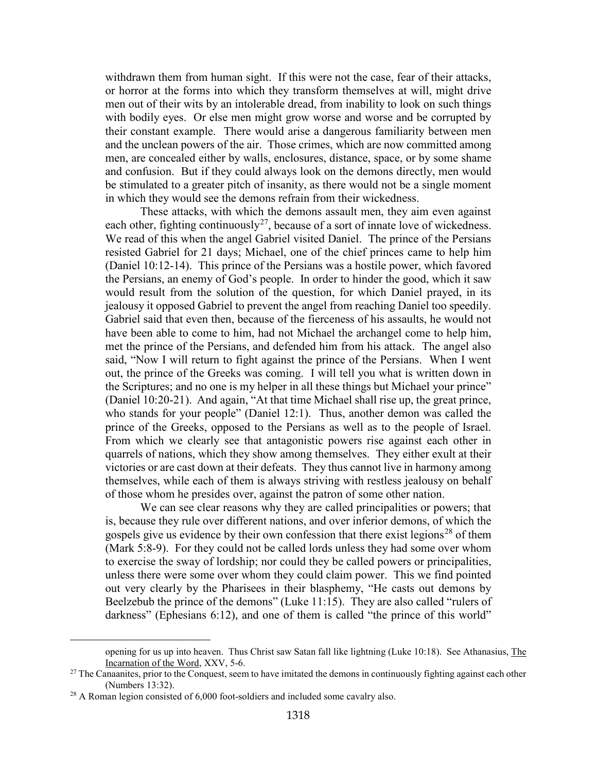withdrawn them from human sight. If this were not the case, fear of their attacks, or horror at the forms into which they transform themselves at will, might drive men out of their wits by an intolerable dread, from inability to look on such things with bodily eyes. Or else men might grow worse and worse and be corrupted by their constant example. There would arise a dangerous familiarity between men and the unclean powers of the air. Those crimes, which are now committed among men, are concealed either by walls, enclosures, distance, space, or by some shame and confusion. But if they could always look on the demons directly, men would be stimulated to a greater pitch of insanity, as there would not be a single moment in which they would see the demons refrain from their wickedness.

These attacks, with which the demons assault men, they aim even against each other, fighting continuously<sup>[27](#page-18-0)</sup>, because of a sort of innate love of wickedness. We read of this when the angel Gabriel visited Daniel. The prince of the Persians resisted Gabriel for 21 days; Michael, one of the chief princes came to help him (Daniel 10:12-14). This prince of the Persians was a hostile power, which favored the Persians, an enemy of God's people. In order to hinder the good, which it saw would result from the solution of the question, for which Daniel prayed, in its jealousy it opposed Gabriel to prevent the angel from reaching Daniel too speedily. Gabriel said that even then, because of the fierceness of his assaults, he would not have been able to come to him, had not Michael the archangel come to help him, met the prince of the Persians, and defended him from his attack. The angel also said, "Now I will return to fight against the prince of the Persians. When I went out, the prince of the Greeks was coming. I will tell you what is written down in the Scriptures; and no one is my helper in all these things but Michael your prince" (Daniel 10:20-21). And again, "At that time Michael shall rise up, the great prince, who stands for your people" (Daniel 12:1). Thus, another demon was called the prince of the Greeks, opposed to the Persians as well as to the people of Israel. From which we clearly see that antagonistic powers rise against each other in quarrels of nations, which they show among themselves. They either exult at their victories or are cast down at their defeats. They thus cannot live in harmony among themselves, while each of them is always striving with restless jealousy on behalf of those whom he presides over, against the patron of some other nation.

We can see clear reasons why they are called principalities or powers; that is, because they rule over different nations, and over inferior demons, of which the gospels give us evidence by their own confession that there exist legions<sup>[28](#page-18-1)</sup> of them (Mark 5:8-9). For they could not be called lords unless they had some over whom to exercise the sway of lordship; nor could they be called powers or principalities, unless there were some over whom they could claim power. This we find pointed out very clearly by the Pharisees in their blasphemy, "He casts out demons by Beelzebub the prince of the demons" (Luke 11:15). They are also called "rulers of darkness" (Ephesians 6:12), and one of them is called "the prince of this world"

opening for us up into heaven. Thus Christ saw Satan fall like lightning (Luke 10:18). See Athanasius, The Incarnation of the Word, XXV, 5-6.

<span id="page-18-0"></span> $27$  The Canaanites, prior to the Conquest, seem to have imitated the demons in continuously fighting against each other (Numbers 13:32).

<span id="page-18-1"></span><sup>&</sup>lt;sup>28</sup> A Roman legion consisted of 6,000 foot-soldiers and included some cavalry also.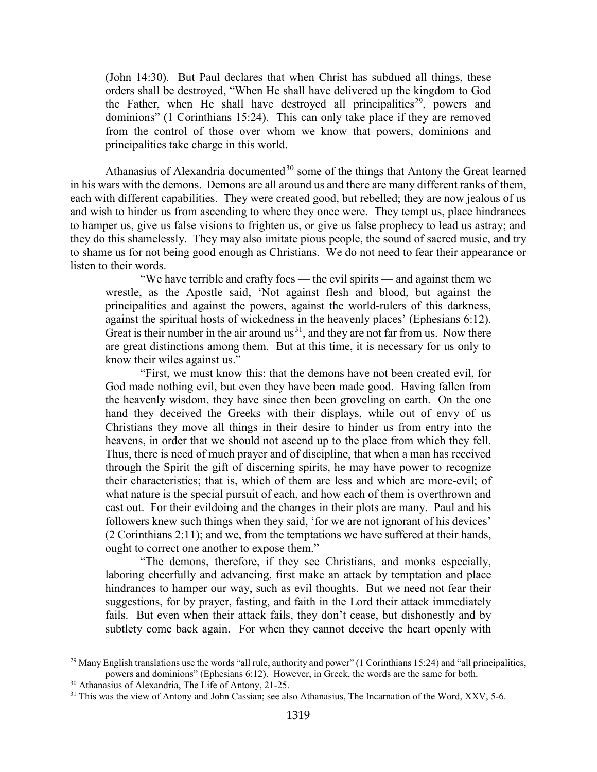(John 14:30). But Paul declares that when Christ has subdued all things, these orders shall be destroyed, "When He shall have delivered up the kingdom to God the Father, when He shall have destroyed all principalities<sup>29</sup>, powers and dominions" (1 Corinthians 15:24). This can only take place if they are removed from the control of those over whom we know that powers, dominions and principalities take charge in this world.

Athanasius of Alexandria documented<sup>[30](#page-19-1)</sup> some of the things that Antony the Great learned in his wars with the demons. Demons are all around us and there are many different ranks of them, each with different capabilities. They were created good, but rebelled; they are now jealous of us and wish to hinder us from ascending to where they once were. They tempt us, place hindrances to hamper us, give us false visions to frighten us, or give us false prophecy to lead us astray; and they do this shamelessly. They may also imitate pious people, the sound of sacred music, and try to shame us for not being good enough as Christians. We do not need to fear their appearance or listen to their words.

"We have terrible and crafty foes — the evil spirits — and against them we wrestle, as the Apostle said, 'Not against flesh and blood, but against the principalities and against the powers, against the world-rulers of this darkness, against the spiritual hosts of wickedness in the heavenly places' (Ephesians 6:12). Great is their number in the air around  $us<sup>31</sup>$ , and they are not far from us. Now there are great distinctions among them. But at this time, it is necessary for us only to know their wiles against us."

"First, we must know this: that the demons have not been created evil, for God made nothing evil, but even they have been made good. Having fallen from the heavenly wisdom, they have since then been groveling on earth. On the one hand they deceived the Greeks with their displays, while out of envy of us Christians they move all things in their desire to hinder us from entry into the heavens, in order that we should not ascend up to the place from which they fell. Thus, there is need of much prayer and of discipline, that when a man has received through the Spirit the gift of discerning spirits, he may have power to recognize their characteristics; that is, which of them are less and which are more-evil; of what nature is the special pursuit of each, and how each of them is overthrown and cast out. For their evildoing and the changes in their plots are many. Paul and his followers knew such things when they said, 'for we are not ignorant of his devices' (2 Corinthians 2:11); and we, from the temptations we have suffered at their hands, ought to correct one another to expose them."

"The demons, therefore, if they see Christians, and monks especially, laboring cheerfully and advancing, first make an attack by temptation and place hindrances to hamper our way, such as evil thoughts. But we need not fear their suggestions, for by prayer, fasting, and faith in the Lord their attack immediately fails. But even when their attack fails, they don't cease, but dishonestly and by subtlety come back again. For when they cannot deceive the heart openly with

<span id="page-19-0"></span><sup>&</sup>lt;sup>29</sup> Many English translations use the words "all rule, authority and power" (1 Corinthians 15:24) and "all principalities, powers and dominions" (Ephesians 6:12). However, in Greek, the words are the same for both.

<span id="page-19-1"></span><sup>&</sup>lt;sup>30</sup> Athanasius of Alexandria, The Life of Antony, 21-25.

<span id="page-19-2"></span><sup>&</sup>lt;sup>31</sup> This was the view of Antony and John Cassian; see also Athanasius, The Incarnation of the Word, XXV, 5-6.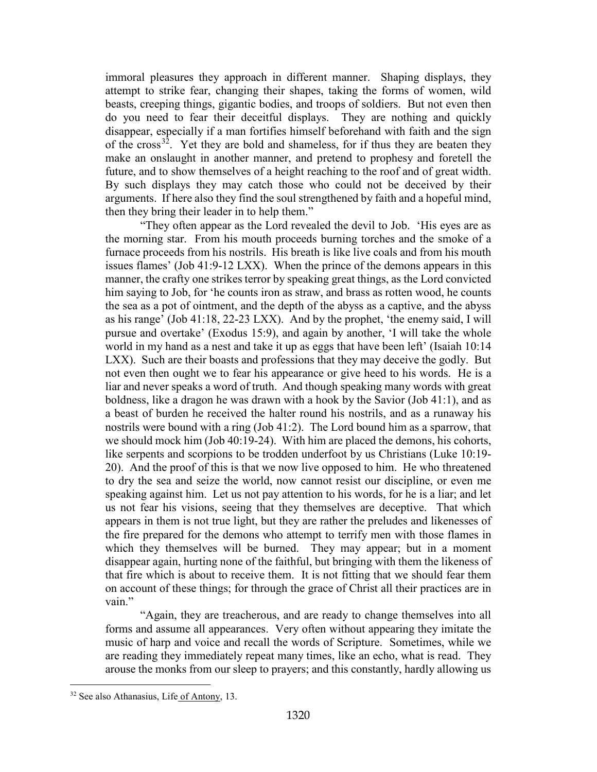immoral pleasures they approach in different manner. Shaping displays, they attempt to strike fear, changing their shapes, taking the forms of women, wild beasts, creeping things, gigantic bodies, and troops of soldiers. But not even then do you need to fear their deceitful displays. They are nothing and quickly disappear, especially if a man fortifies himself beforehand with faith and the sign of the cross<sup>[32](#page-20-0)</sup>. Yet they are bold and shameless, for if thus they are beaten they make an onslaught in another manner, and pretend to prophesy and foretell the future, and to show themselves of a height reaching to the roof and of great width. By such displays they may catch those who could not be deceived by their arguments. If here also they find the soul strengthened by faith and a hopeful mind, then they bring their leader in to help them."

"They often appear as the Lord revealed the devil to Job. 'His eyes are as the morning star. From his mouth proceeds burning torches and the smoke of a furnace proceeds from his nostrils. His breath is like live coals and from his mouth issues flames' (Job 41:9-12 LXX). When the prince of the demons appears in this manner, the crafty one strikes terror by speaking great things, as the Lord convicted him saying to Job, for 'he counts iron as straw, and brass as rotten wood, he counts the sea as a pot of ointment, and the depth of the abyss as a captive, and the abyss as his range' (Job 41:18, 22-23 LXX). And by the prophet, 'the enemy said, I will pursue and overtake' (Exodus 15:9), and again by another, 'I will take the whole world in my hand as a nest and take it up as eggs that have been left' (Isaiah 10:14 LXX). Such are their boasts and professions that they may deceive the godly. But not even then ought we to fear his appearance or give heed to his words. He is a liar and never speaks a word of truth. And though speaking many words with great boldness, like a dragon he was drawn with a hook by the Savior (Job 41:1), and as a beast of burden he received the halter round his nostrils, and as a runaway his nostrils were bound with a ring (Job 41:2). The Lord bound him as a sparrow, that we should mock him (Job 40:19-24). With him are placed the demons, his cohorts, like serpents and scorpions to be trodden underfoot by us Christians (Luke 10:19-20). And the proof of this is that we now live opposed to him. He who threatened to dry the sea and seize the world, now cannot resist our discipline, or even me speaking against him. Let us not pay attention to his words, for he is a liar; and let us not fear his visions, seeing that they themselves are deceptive. That which appears in them is not true light, but they are rather the preludes and likenesses of the fire prepared for the demons who attempt to terrify men with those flames in which they themselves will be burned. They may appear; but in a moment disappear again, hurting none of the faithful, but bringing with them the likeness of that fire which is about to receive them. It is not fitting that we should fear them on account of these things; for through the grace of Christ all their practices are in vain."

"Again, they are treacherous, and are ready to change themselves into all forms and assume all appearances. Very often without appearing they imitate the music of harp and voice and recall the words of Scripture. Sometimes, while we are reading they immediately repeat many times, like an echo, what is read. They arouse the monks from our sleep to prayers; and this constantly, hardly allowing us

<span id="page-20-0"></span><sup>32</sup> See also Athanasius, Life of Antony, 13.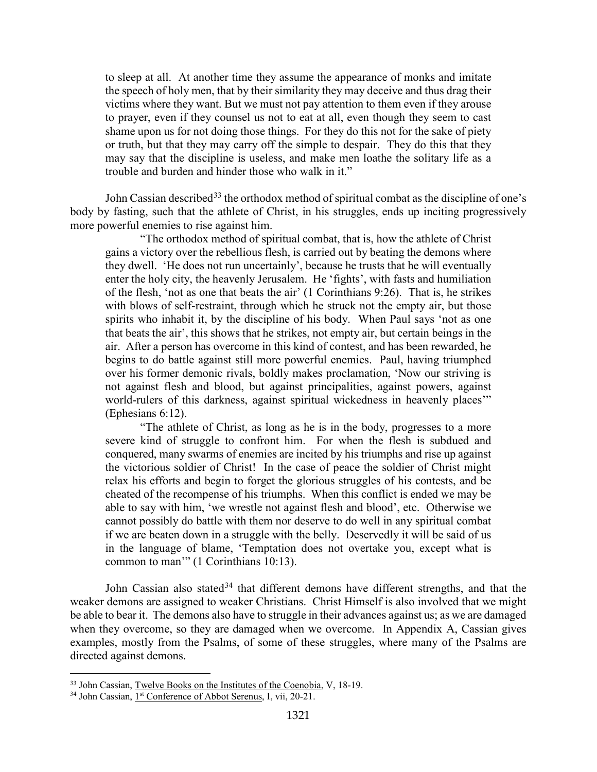to sleep at all. At another time they assume the appearance of monks and imitate the speech of holy men, that by their similarity they may deceive and thus drag their victims where they want. But we must not pay attention to them even if they arouse to prayer, even if they counsel us not to eat at all, even though they seem to cast shame upon us for not doing those things. For they do this not for the sake of piety or truth, but that they may carry off the simple to despair. They do this that they may say that the discipline is useless, and make men loathe the solitary life as a trouble and burden and hinder those who walk in it."

John Cassian described<sup>[33](#page-21-0)</sup> the orthodox method of spiritual combat as the discipline of one's body by fasting, such that the athlete of Christ, in his struggles, ends up inciting progressively more powerful enemies to rise against him.

"The orthodox method of spiritual combat, that is, how the athlete of Christ gains a victory over the rebellious flesh, is carried out by beating the demons where they dwell. 'He does not run uncertainly', because he trusts that he will eventually enter the holy city, the heavenly Jerusalem. He 'fights', with fasts and humiliation of the flesh, 'not as one that beats the air' (1 Corinthians 9:26). That is, he strikes with blows of self-restraint, through which he struck not the empty air, but those spirits who inhabit it, by the discipline of his body. When Paul says 'not as one that beats the air', this shows that he strikes, not empty air, but certain beings in the air. After a person has overcome in this kind of contest, and has been rewarded, he begins to do battle against still more powerful enemies. Paul, having triumphed over his former demonic rivals, boldly makes proclamation, 'Now our striving is not against flesh and blood, but against principalities, against powers, against world-rulers of this darkness, against spiritual wickedness in heavenly places" (Ephesians 6:12).

"The athlete of Christ, as long as he is in the body, progresses to a more severe kind of struggle to confront him. For when the flesh is subdued and conquered, many swarms of enemies are incited by his triumphs and rise up against the victorious soldier of Christ! In the case of peace the soldier of Christ might relax his efforts and begin to forget the glorious struggles of his contests, and be cheated of the recompense of his triumphs. When this conflict is ended we may be able to say with him, 'we wrestle not against flesh and blood', etc. Otherwise we cannot possibly do battle with them nor deserve to do well in any spiritual combat if we are beaten down in a struggle with the belly. Deservedly it will be said of us in the language of blame, 'Temptation does not overtake you, except what is common to man'" (1 Corinthians 10:13).

John Cassian also stated<sup>[34](#page-21-1)</sup> that different demons have different strengths, and that the weaker demons are assigned to weaker Christians. Christ Himself is also involved that we might be able to bear it. The demons also have to struggle in their advances against us; as we are damaged when they overcome, so they are damaged when we overcome. In Appendix A, Cassian gives examples, mostly from the Psalms, of some of these struggles, where many of the Psalms are directed against demons.

<span id="page-21-0"></span><sup>&</sup>lt;sup>33</sup> John Cassian, Twelve Books on the Institutes of the Coenobia, V, 18-19.

<span id="page-21-1"></span><sup>&</sup>lt;sup>34</sup> John Cassian, 1<sup>st</sup> Conference of Abbot Serenus, I, vii, 20-21.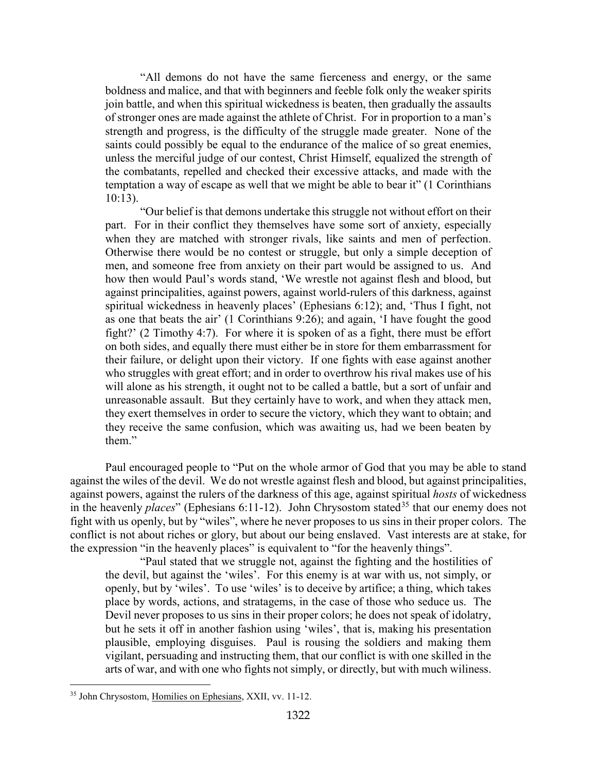"All demons do not have the same fierceness and energy, or the same boldness and malice, and that with beginners and feeble folk only the weaker spirits join battle, and when this spiritual wickedness is beaten, then gradually the assaults of stronger ones are made against the athlete of Christ. For in proportion to a man's strength and progress, is the difficulty of the struggle made greater. None of the saints could possibly be equal to the endurance of the malice of so great enemies, unless the merciful judge of our contest, Christ Himself, equalized the strength of the combatants, repelled and checked their excessive attacks, and made with the temptation a way of escape as well that we might be able to bear it" (1 Corinthians 10:13).

"Our belief is that demons undertake this struggle not without effort on their part. For in their conflict they themselves have some sort of anxiety, especially when they are matched with stronger rivals, like saints and men of perfection. Otherwise there would be no contest or struggle, but only a simple deception of men, and someone free from anxiety on their part would be assigned to us. And how then would Paul's words stand, 'We wrestle not against flesh and blood, but against principalities, against powers, against world-rulers of this darkness, against spiritual wickedness in heavenly places' (Ephesians 6:12); and, 'Thus I fight, not as one that beats the air' (1 Corinthians 9:26); and again, 'I have fought the good fight?' (2 Timothy 4:7). For where it is spoken of as a fight, there must be effort on both sides, and equally there must either be in store for them embarrassment for their failure, or delight upon their victory. If one fights with ease against another who struggles with great effort; and in order to overthrow his rival makes use of his will alone as his strength, it ought not to be called a battle, but a sort of unfair and unreasonable assault. But they certainly have to work, and when they attack men, they exert themselves in order to secure the victory, which they want to obtain; and they receive the same confusion, which was awaiting us, had we been beaten by them."

Paul encouraged people to "Put on the whole armor of God that you may be able to stand against the wiles of the devil. We do not wrestle against flesh and blood, but against principalities, against powers, against the rulers of the darkness of this age, against spiritual *hosts* of wickedness in the heavenly *places*" (Ephesians 6:11-12). John Chrysostom stated<sup>[35](#page-22-0)</sup> that our enemy does not fight with us openly, but by "wiles", where he never proposes to us sins in their proper colors. The conflict is not about riches or glory, but about our being enslaved. Vast interests are at stake, for the expression "in the heavenly places" is equivalent to "for the heavenly things".

"Paul stated that we struggle not, against the fighting and the hostilities of the devil, but against the 'wiles'. For this enemy is at war with us, not simply, or openly, but by 'wiles'. To use 'wiles' is to deceive by artifice; a thing, which takes place by words, actions, and stratagems, in the case of those who seduce us. The Devil never proposes to us sins in their proper colors; he does not speak of idolatry, but he sets it off in another fashion using 'wiles', that is, making his presentation plausible, employing disguises. Paul is rousing the soldiers and making them vigilant, persuading and instructing them, that our conflict is with one skilled in the arts of war, and with one who fights not simply, or directly, but with much wiliness.

<span id="page-22-0"></span><sup>35</sup> John Chrysostom, Homilies on Ephesians, XXII, vv. 11-12.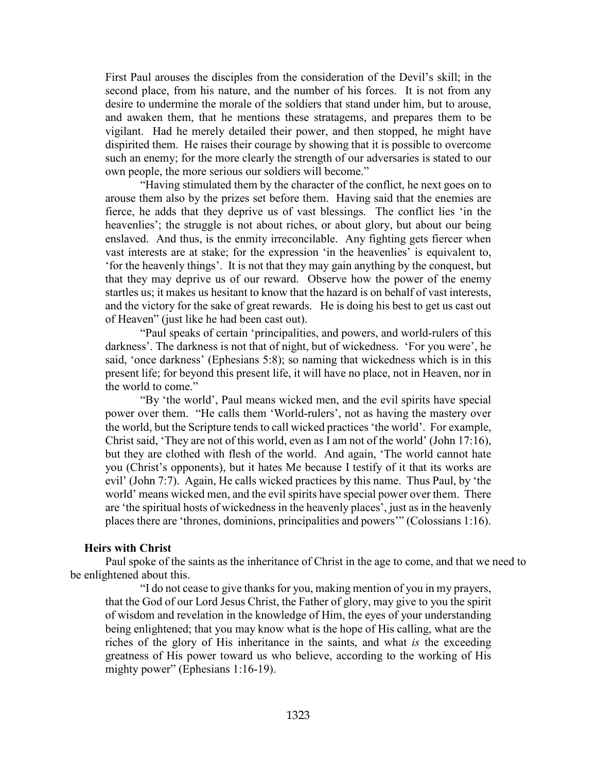First Paul arouses the disciples from the consideration of the Devil's skill; in the second place, from his nature, and the number of his forces. It is not from any desire to undermine the morale of the soldiers that stand under him, but to arouse, and awaken them, that he mentions these stratagems, and prepares them to be vigilant. Had he merely detailed their power, and then stopped, he might have dispirited them. He raises their courage by showing that it is possible to overcome such an enemy; for the more clearly the strength of our adversaries is stated to our own people, the more serious our soldiers will become."

"Having stimulated them by the character of the conflict, he next goes on to arouse them also by the prizes set before them. Having said that the enemies are fierce, he adds that they deprive us of vast blessings. The conflict lies 'in the heavenlies'; the struggle is not about riches, or about glory, but about our being enslaved. And thus, is the enmity irreconcilable. Any fighting gets fiercer when vast interests are at stake; for the expression 'in the heavenlies' is equivalent to, 'for the heavenly things'. It is not that they may gain anything by the conquest, but that they may deprive us of our reward. Observe how the power of the enemy startles us; it makes us hesitant to know that the hazard is on behalf of vast interests, and the victory for the sake of great rewards. He is doing his best to get us cast out of Heaven" (just like he had been cast out).

"Paul speaks of certain 'principalities, and powers, and world-rulers of this darkness'. The darkness is not that of night, but of wickedness. 'For you were', he said, 'once darkness' (Ephesians 5:8); so naming that wickedness which is in this present life; for beyond this present life, it will have no place, not in Heaven, nor in the world to come."

"By 'the world', Paul means wicked men, and the evil spirits have special power over them. "He calls them 'World-rulers', not as having the mastery over the world, but the Scripture tends to call wicked practices 'the world'. For example, Christ said, 'They are not of this world, even as I am not of the world' (John 17:16), but they are clothed with flesh of the world. And again, 'The world cannot hate you (Christ's opponents), but it hates Me because I testify of it that its works are evil' (John 7:7). Again, He calls wicked practices by this name. Thus Paul, by 'the world' means wicked men, and the evil spirits have special power over them. There are 'the spiritual hosts of wickedness in the heavenly places', just as in the heavenly places there are 'thrones, dominions, principalities and powers'" (Colossians 1:16).

#### <span id="page-23-0"></span>**Heirs with Christ**

Paul spoke of the saints as the inheritance of Christ in the age to come, and that we need to be enlightened about this.

"I do not cease to give thanks for you, making mention of you in my prayers, that the God of our Lord Jesus Christ, the Father of glory, may give to you the spirit of wisdom and revelation in the knowledge of Him, the eyes of your understanding being enlightened; that you may know what is the hope of His calling, what are the riches of the glory of His inheritance in the saints, and what *is* the exceeding greatness of His power toward us who believe, according to the working of His mighty power" (Ephesians 1:16-19).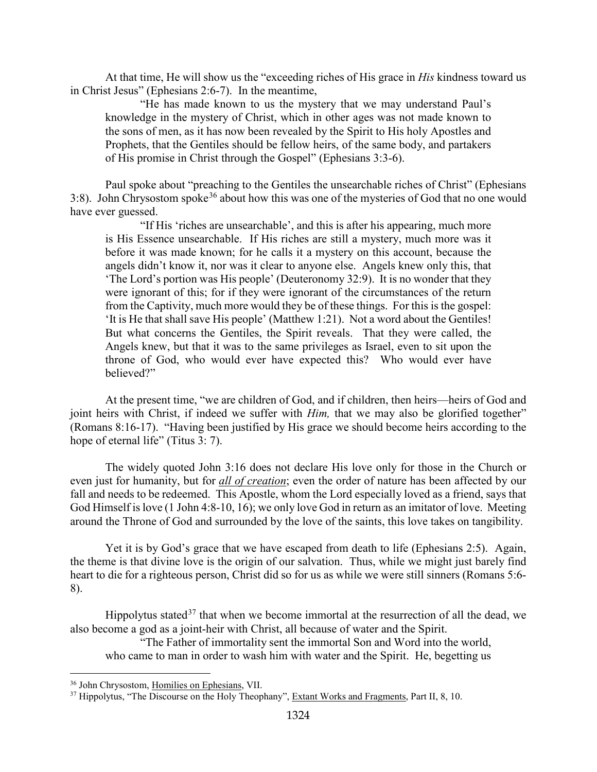At that time, He will show us the "exceeding riches of His grace in *His* kindness toward us in Christ Jesus" (Ephesians 2:6-7). In the meantime,

"He has made known to us the mystery that we may understand Paul's knowledge in the mystery of Christ, which in other ages was not made known to the sons of men, as it has now been revealed by the Spirit to His holy Apostles and Prophets, that the Gentiles should be fellow heirs, of the same body, and partakers of His promise in Christ through the Gospel" (Ephesians 3:3-6).

Paul spoke about "preaching to the Gentiles the unsearchable riches of Christ" (Ephesians 3:8). John Chrysostom spoke<sup>[36](#page-24-0)</sup> about how this was one of the mysteries of God that no one would have ever guessed.

"If His 'riches are unsearchable', and this is after his appearing, much more is His Essence unsearchable. If His riches are still a mystery, much more was it before it was made known; for he calls it a mystery on this account, because the angels didn't know it, nor was it clear to anyone else. Angels knew only this, that 'The Lord's portion was His people' (Deuteronomy 32:9). It is no wonder that they were ignorant of this; for if they were ignorant of the circumstances of the return from the Captivity, much more would they be of these things. For this is the gospel: 'It is He that shall save His people' (Matthew 1:21). Not a word about the Gentiles! But what concerns the Gentiles, the Spirit reveals. That they were called, the Angels knew, but that it was to the same privileges as Israel, even to sit upon the throne of God, who would ever have expected this? Who would ever have believed?"

At the present time, "we are children of God, and if children, then heirs—heirs of God and joint heirs with Christ, if indeed we suffer with *Him*, that we may also be glorified together" (Romans 8:16-17). "Having been justified by His grace we should become heirs according to the hope of eternal life" (Titus 3: 7).

The widely quoted John 3:16 does not declare His love only for those in the Church or even just for humanity, but for *all of creation*; even the order of nature has been affected by our fall and needs to be redeemed. This Apostle, whom the Lord especially loved as a friend, says that God Himself is love (1 John 4:8-10, 16); we only love God in return as an imitator of love. Meeting around the Throne of God and surrounded by the love of the saints, this love takes on tangibility.

Yet it is by God's grace that we have escaped from death to life (Ephesians 2:5). Again, the theme is that divine love is the origin of our salvation. Thus, while we might just barely find heart to die for a righteous person, Christ did so for us as while we were still sinners (Romans 5:6- 8).

Hippolytus stated<sup>[37](#page-24-1)</sup> that when we become immortal at the resurrection of all the dead, we also become a god as a joint-heir with Christ, all because of water and the Spirit.

"The Father of immortality sent the immortal Son and Word into the world, who came to man in order to wash him with water and the Spirit. He, begetting us

<span id="page-24-0"></span><sup>&</sup>lt;sup>36</sup> John Chrysostom, Homilies on Ephesians, VII.

<span id="page-24-1"></span><sup>&</sup>lt;sup>37</sup> Hippolytus, "The Discourse on the Holy Theophany", Extant Works and Fragments, Part II, 8, 10.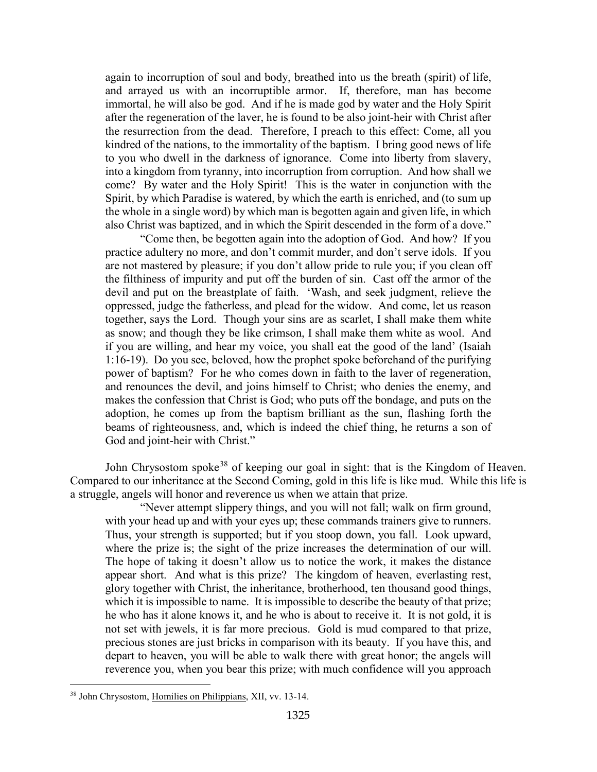again to incorruption of soul and body, breathed into us the breath (spirit) of life, and arrayed us with an incorruptible armor. If, therefore, man has become immortal, he will also be god. And if he is made god by water and the Holy Spirit after the regeneration of the laver, he is found to be also joint-heir with Christ after the resurrection from the dead. Therefore, I preach to this effect: Come, all you kindred of the nations, to the immortality of the baptism. I bring good news of life to you who dwell in the darkness of ignorance. Come into liberty from slavery, into a kingdom from tyranny, into incorruption from corruption. And how shall we come? By water and the Holy Spirit! This is the water in conjunction with the Spirit, by which Paradise is watered, by which the earth is enriched, and (to sum up the whole in a single word) by which man is begotten again and given life, in which also Christ was baptized, and in which the Spirit descended in the form of a dove."

"Come then, be begotten again into the adoption of God. And how? If you practice adultery no more, and don't commit murder, and don't serve idols. If you are not mastered by pleasure; if you don't allow pride to rule you; if you clean off the filthiness of impurity and put off the burden of sin. Cast off the armor of the devil and put on the breastplate of faith. 'Wash, and seek judgment, relieve the oppressed, judge the fatherless, and plead for the widow. And come, let us reason together, says the Lord. Though your sins are as scarlet, I shall make them white as snow; and though they be like crimson, I shall make them white as wool. And if you are willing, and hear my voice, you shall eat the good of the land' (Isaiah 1:16-19). Do you see, beloved, how the prophet spoke beforehand of the purifying power of baptism? For he who comes down in faith to the laver of regeneration, and renounces the devil, and joins himself to Christ; who denies the enemy, and makes the confession that Christ is God; who puts off the bondage, and puts on the adoption, he comes up from the baptism brilliant as the sun, flashing forth the beams of righteousness, and, which is indeed the chief thing, he returns a son of God and joint-heir with Christ."

John Chrysostom spoke<sup>[38](#page-25-0)</sup> of keeping our goal in sight: that is the Kingdom of Heaven. Compared to our inheritance at the Second Coming, gold in this life is like mud. While this life is a struggle, angels will honor and reverence us when we attain that prize.

"Never attempt slippery things, and you will not fall; walk on firm ground, with your head up and with your eyes up; these commands trainers give to runners. Thus, your strength is supported; but if you stoop down, you fall. Look upward, where the prize is; the sight of the prize increases the determination of our will. The hope of taking it doesn't allow us to notice the work, it makes the distance appear short. And what is this prize? The kingdom of heaven, everlasting rest, glory together with Christ, the inheritance, brotherhood, ten thousand good things, which it is impossible to name. It is impossible to describe the beauty of that prize; he who has it alone knows it, and he who is about to receive it. It is not gold, it is not set with jewels, it is far more precious. Gold is mud compared to that prize, precious stones are just bricks in comparison with its beauty. If you have this, and depart to heaven, you will be able to walk there with great honor; the angels will reverence you, when you bear this prize; with much confidence will you approach

<span id="page-25-0"></span><sup>38</sup> John Chrysostom, Homilies on Philippians, XII, vv. 13-14.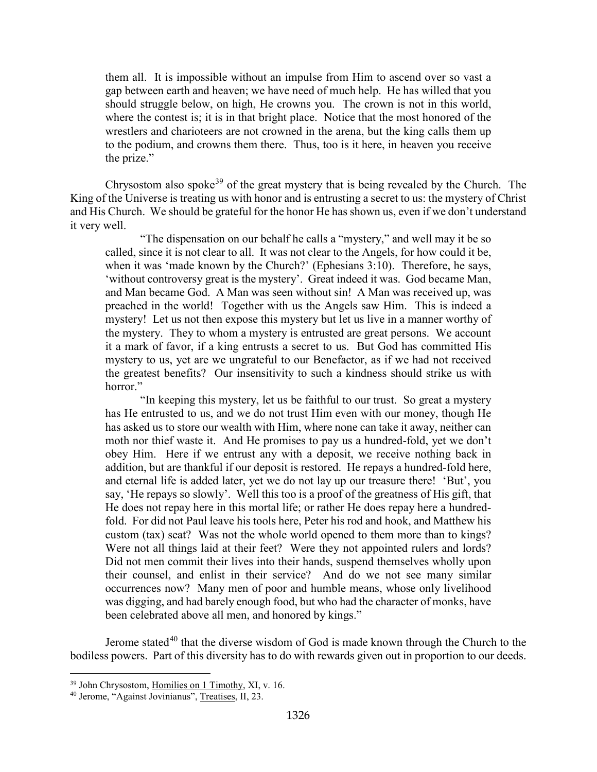them all. It is impossible without an impulse from Him to ascend over so vast a gap between earth and heaven; we have need of much help. He has willed that you should struggle below, on high, He crowns you. The crown is not in this world, where the contest is; it is in that bright place. Notice that the most honored of the wrestlers and charioteers are not crowned in the arena, but the king calls them up to the podium, and crowns them there. Thus, too is it here, in heaven you receive the prize."

Chrysostom also spoke<sup>[39](#page-26-0)</sup> of the great mystery that is being revealed by the Church. The King of the Universe is treating us with honor and is entrusting a secret to us: the mystery of Christ and His Church. We should be grateful for the honor He has shown us, even if we don't understand it very well.

"The dispensation on our behalf he calls a "mystery," and well may it be so called, since it is not clear to all. It was not clear to the Angels, for how could it be, when it was 'made known by the Church?' (Ephesians 3:10). Therefore, he says, 'without controversy great is the mystery'. Great indeed it was. God became Man, and Man became God. A Man was seen without sin! A Man was received up, was preached in the world! Together with us the Angels saw Him. This is indeed a mystery! Let us not then expose this mystery but let us live in a manner worthy of the mystery. They to whom a mystery is entrusted are great persons. We account it a mark of favor, if a king entrusts a secret to us. But God has committed His mystery to us, yet are we ungrateful to our Benefactor, as if we had not received the greatest benefits? Our insensitivity to such a kindness should strike us with horror."

"In keeping this mystery, let us be faithful to our trust. So great a mystery has He entrusted to us, and we do not trust Him even with our money, though He has asked us to store our wealth with Him, where none can take it away, neither can moth nor thief waste it. And He promises to pay us a hundred-fold, yet we don't obey Him. Here if we entrust any with a deposit, we receive nothing back in addition, but are thankful if our deposit is restored. He repays a hundred-fold here, and eternal life is added later, yet we do not lay up our treasure there! 'But', you say, 'He repays so slowly'. Well this too is a proof of the greatness of His gift, that He does not repay here in this mortal life; or rather He does repay here a hundredfold. For did not Paul leave his tools here, Peter his rod and hook, and Matthew his custom (tax) seat? Was not the whole world opened to them more than to kings? Were not all things laid at their feet? Were they not appointed rulers and lords? Did not men commit their lives into their hands, suspend themselves wholly upon their counsel, and enlist in their service? And do we not see many similar occurrences now? Many men of poor and humble means, whose only livelihood was digging, and had barely enough food, but who had the character of monks, have been celebrated above all men, and honored by kings."

Jerome stated<sup>[40](#page-26-1)</sup> that the diverse wisdom of God is made known through the Church to the bodiless powers. Part of this diversity has to do with rewards given out in proportion to our deeds.

<span id="page-26-0"></span><sup>&</sup>lt;sup>39</sup> John Chrysostom, Homilies on 1 Timothy, XI, v. 16.

<span id="page-26-1"></span><sup>40</sup> Jerome, "Against Jovinianus", Treatises, II, 23.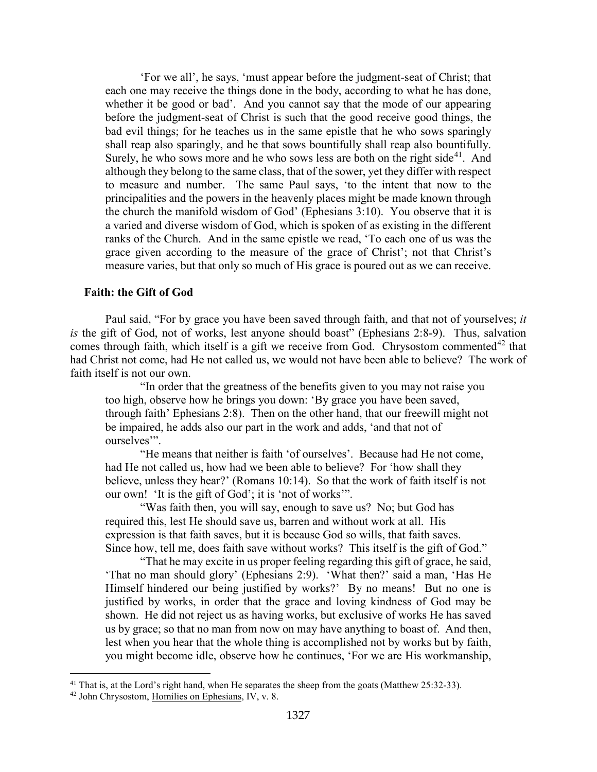'For we all', he says, 'must appear before the judgment-seat of Christ; that each one may receive the things done in the body, according to what he has done, whether it be good or bad'. And you cannot say that the mode of our appearing before the judgment-seat of Christ is such that the good receive good things, the bad evil things; for he teaches us in the same epistle that he who sows sparingly shall reap also sparingly, and he that sows bountifully shall reap also bountifully. Surely, he who sows more and he who sows less are both on the right side<sup>[41](#page-27-1)</sup>. And although they belong to the same class, that of the sower, yet they differ with respect to measure and number. The same Paul says, 'to the intent that now to the principalities and the powers in the heavenly places might be made known through the church the manifold wisdom of God' (Ephesians 3:10). You observe that it is a varied and diverse wisdom of God, which is spoken of as existing in the different ranks of the Church. And in the same epistle we read, 'To each one of us was the grace given according to the measure of the grace of Christ'; not that Christ's measure varies, but that only so much of His grace is poured out as we can receive.

#### <span id="page-27-0"></span>**Faith: the Gift of God**

Paul said, "For by grace you have been saved through faith, and that not of yourselves; *it is* the gift of God, not of works, lest anyone should boast" (Ephesians 2:8-9). Thus, salvation comes through faith, which itself is a gift we receive from God. Chrysostom commented<sup>[42](#page-27-2)</sup> that had Christ not come, had He not called us, we would not have been able to believe? The work of faith itself is not our own.

"In order that the greatness of the benefits given to you may not raise you too high, observe how he brings you down: 'By grace you have been saved, through faith' Ephesians 2:8). Then on the other hand, that our freewill might not be impaired, he adds also our part in the work and adds, 'and that not of ourselves".

"He means that neither is faith 'of ourselves'. Because had He not come, had He not called us, how had we been able to believe? For 'how shall they believe, unless they hear?' (Romans 10:14). So that the work of faith itself is not our own! 'It is the gift of God'; it is 'not of works'".

"Was faith then, you will say, enough to save us? No; but God has required this, lest He should save us, barren and without work at all. His expression is that faith saves, but it is because God so wills, that faith saves. Since how, tell me, does faith save without works? This itself is the gift of God."

"That he may excite in us proper feeling regarding this gift of grace, he said, 'That no man should glory' (Ephesians 2:9). 'What then?' said a man, 'Has He Himself hindered our being justified by works?' By no means! But no one is justified by works, in order that the grace and loving kindness of God may be shown. He did not reject us as having works, but exclusive of works He has saved us by grace; so that no man from now on may have anything to boast of. And then, lest when you hear that the whole thing is accomplished not by works but by faith, you might become idle, observe how he continues, 'For we are His workmanship,

<span id="page-27-2"></span><span id="page-27-1"></span><sup>&</sup>lt;sup>41</sup> That is, at the Lord's right hand, when He separates the sheep from the goats (Matthew 25:32-33). <sup>42</sup> John Chrysostom, Homilies on Ephesians, IV, v. 8.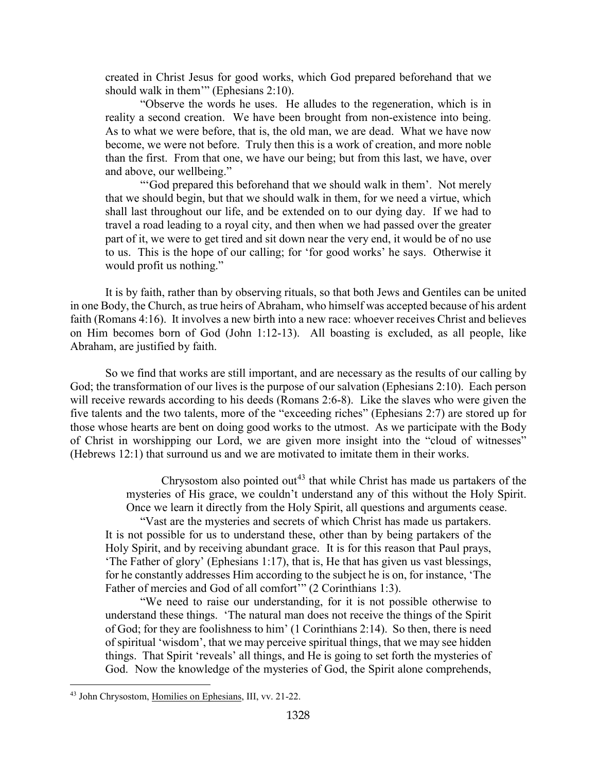created in Christ Jesus for good works, which God prepared beforehand that we should walk in them'" (Ephesians 2:10).

"Observe the words he uses. He alludes to the regeneration, which is in reality a second creation. We have been brought from non-existence into being. As to what we were before, that is, the old man, we are dead. What we have now become, we were not before. Truly then this is a work of creation, and more noble than the first. From that one, we have our being; but from this last, we have, over and above, our wellbeing."

"'God prepared this beforehand that we should walk in them'. Not merely that we should begin, but that we should walk in them, for we need a virtue, which shall last throughout our life, and be extended on to our dying day. If we had to travel a road leading to a royal city, and then when we had passed over the greater part of it, we were to get tired and sit down near the very end, it would be of no use to us. This is the hope of our calling; for 'for good works' he says. Otherwise it would profit us nothing."

It is by faith, rather than by observing rituals, so that both Jews and Gentiles can be united in one Body, the Church, as true heirs of Abraham, who himself was accepted because of his ardent faith (Romans 4:16). It involves a new birth into a new race: whoever receives Christ and believes on Him becomes born of God (John 1:12-13). All boasting is excluded, as all people, like Abraham, are justified by faith.

So we find that works are still important, and are necessary as the results of our calling by God; the transformation of our lives is the purpose of our salvation (Ephesians 2:10). Each person will receive rewards according to his deeds (Romans 2:6-8). Like the slaves who were given the five talents and the two talents, more of the "exceeding riches" (Ephesians 2:7) are stored up for those whose hearts are bent on doing good works to the utmost. As we participate with the Body of Christ in worshipping our Lord, we are given more insight into the "cloud of witnesses" (Hebrews 12:1) that surround us and we are motivated to imitate them in their works.

> Chrysostom also pointed out<sup>[43](#page-28-0)</sup> that while Christ has made us partakers of the mysteries of His grace, we couldn't understand any of this without the Holy Spirit. Once we learn it directly from the Holy Spirit, all questions and arguments cease.

"Vast are the mysteries and secrets of which Christ has made us partakers. It is not possible for us to understand these, other than by being partakers of the Holy Spirit, and by receiving abundant grace. It is for this reason that Paul prays, 'The Father of glory' (Ephesians 1:17), that is, He that has given us vast blessings, for he constantly addresses Him according to the subject he is on, for instance, 'The Father of mercies and God of all comfort" (2 Corinthians 1:3).

"We need to raise our understanding, for it is not possible otherwise to understand these things. 'The natural man does not receive the things of the Spirit of God; for they are foolishness to him' (1 Corinthians 2:14). So then, there is need of spiritual 'wisdom', that we may perceive spiritual things, that we may see hidden things. That Spirit 'reveals' all things, and He is going to set forth the mysteries of God. Now the knowledge of the mysteries of God, the Spirit alone comprehends,

<span id="page-28-0"></span><sup>43</sup> John Chrysostom, Homilies on Ephesians, III, vv. 21-22.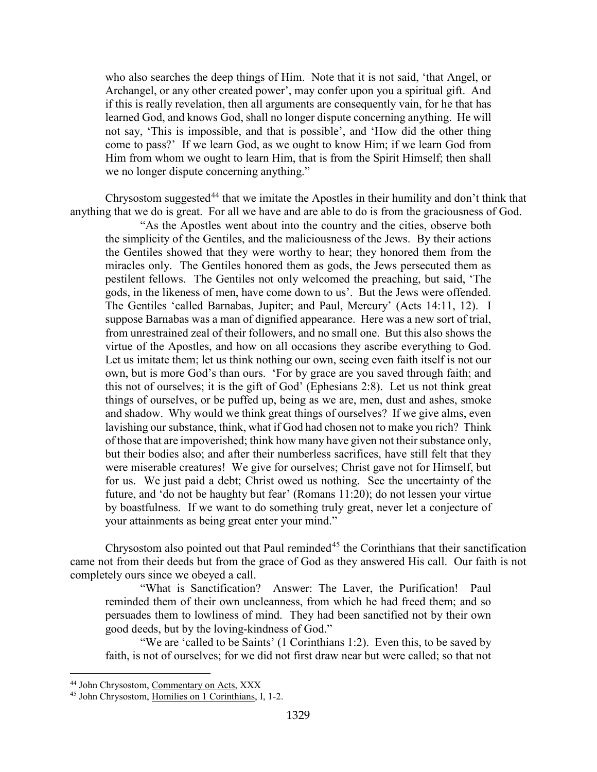who also searches the deep things of Him. Note that it is not said, 'that Angel, or Archangel, or any other created power', may confer upon you a spiritual gift. And if this is really revelation, then all arguments are consequently vain, for he that has learned God, and knows God, shall no longer dispute concerning anything. He will not say, 'This is impossible, and that is possible', and 'How did the other thing come to pass?' If we learn God, as we ought to know Him; if we learn God from Him from whom we ought to learn Him, that is from the Spirit Himself; then shall we no longer dispute concerning anything."

Chrysostom suggested<sup>[44](#page-29-0)</sup> that we imitate the Apostles in their humility and don't think that anything that we do is great. For all we have and are able to do is from the graciousness of God.

"As the Apostles went about into the country and the cities, observe both the simplicity of the Gentiles, and the maliciousness of the Jews. By their actions the Gentiles showed that they were worthy to hear; they honored them from the miracles only. The Gentiles honored them as gods, the Jews persecuted them as pestilent fellows. The Gentiles not only welcomed the preaching, but said, 'The gods, in the likeness of men, have come down to us'. But the Jews were offended. The Gentiles 'called Barnabas, Jupiter; and Paul, Mercury' (Acts 14:11, 12). I suppose Barnabas was a man of dignified appearance. Here was a new sort of trial, from unrestrained zeal of their followers, and no small one. But this also shows the virtue of the Apostles, and how on all occasions they ascribe everything to God. Let us imitate them; let us think nothing our own, seeing even faith itself is not our own, but is more God's than ours. 'For by grace are you saved through faith; and this not of ourselves; it is the gift of God' (Ephesians 2:8). Let us not think great things of ourselves, or be puffed up, being as we are, men, dust and ashes, smoke and shadow. Why would we think great things of ourselves? If we give alms, even lavishing our substance, think, what if God had chosen not to make you rich? Think of those that are impoverished; think how many have given not their substance only, but their bodies also; and after their numberless sacrifices, have still felt that they were miserable creatures! We give for ourselves; Christ gave not for Himself, but for us. We just paid a debt; Christ owed us nothing. See the uncertainty of the future, and 'do not be haughty but fear' (Romans 11:20); do not lessen your virtue by boastfulness. If we want to do something truly great, never let a conjecture of your attainments as being great enter your mind."

Chrysostom also pointed out that Paul reminded<sup>[45](#page-29-1)</sup> the Corinthians that their sanctification came not from their deeds but from the grace of God as they answered His call. Our faith is not completely ours since we obeyed a call.

"What is Sanctification? Answer: The Laver, the Purification! Paul reminded them of their own uncleanness, from which he had freed them; and so persuades them to lowliness of mind. They had been sanctified not by their own good deeds, but by the loving-kindness of God."

"We are 'called to be Saints' (1 Corinthians 1:2). Even this, to be saved by faith, is not of ourselves; for we did not first draw near but were called; so that not

<span id="page-29-0"></span><sup>44</sup> John Chrysostom, Commentary on Acts, XXX

<span id="page-29-1"></span><sup>45</sup> John Chrysostom, Homilies on 1 Corinthians, I, 1-2.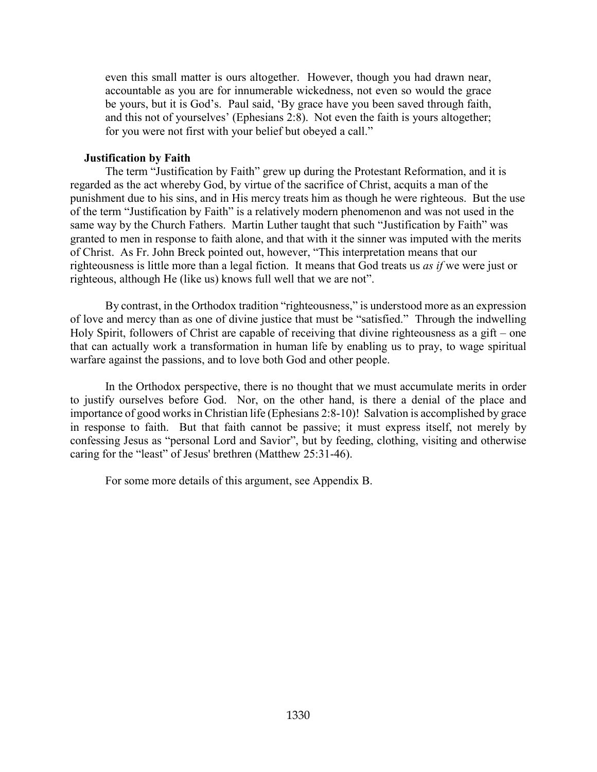even this small matter is ours altogether. However, though you had drawn near, accountable as you are for innumerable wickedness, not even so would the grace be yours, but it is God's. Paul said, 'By grace have you been saved through faith, and this not of yourselves' (Ephesians 2:8). Not even the faith is yours altogether; for you were not first with your belief but obeyed a call."

#### **Justification by Faith**

<span id="page-30-0"></span>The term "Justification by Faith" grew up during the Protestant Reformation, and it is regarded as the act whereby God, by virtue of the sacrifice of Christ, acquits a man of the punishment due to his sins, and in His mercy treats him as though he were righteous. But the use of the term "Justification by Faith" is a relatively modern phenomenon and was not used in the same way by the Church Fathers. Martin Luther taught that such "Justification by Faith" was granted to men in response to faith alone, and that with it the sinner was imputed with the merits of Christ. As Fr. John Breck pointed out, however, "This interpretation means that our righteousness is little more than a legal fiction. It means that God treats us *as if* we were just or righteous, although He (like us) knows full well that we are not".

By contrast, in the Orthodox tradition "righteousness," is understood more as an expression of love and mercy than as one of divine justice that must be "satisfied." Through the indwelling Holy Spirit, followers of Christ are capable of receiving that divine righteousness as a gift – one that can actually work a transformation in human life by enabling us to pray, to wage spiritual warfare against the passions, and to love both God and other people.

In the Orthodox perspective, there is no thought that we must accumulate merits in order to justify ourselves before God. Nor, on the other hand, is there a denial of the place and importance of good works in Christian life (Ephesians 2:8-10)! Salvation is accomplished by grace in response to faith. But that faith cannot be passive; it must express itself, not merely by confessing Jesus as "personal Lord and Savior", but by feeding, clothing, visiting and otherwise caring for the "least" of Jesus' brethren (Matthew 25:31-46).

For some more details of this argument, see Appendix B.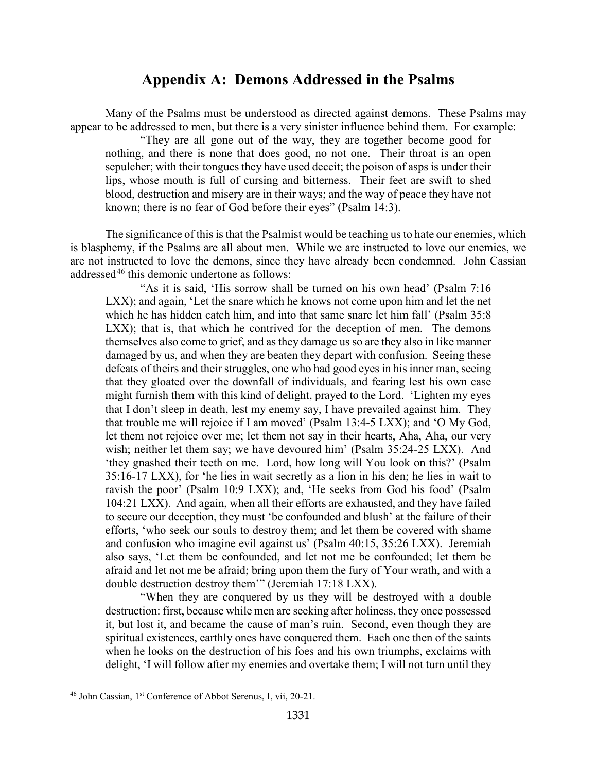## **Appendix A: Demons Addressed in the Psalms**

<span id="page-31-0"></span>Many of the Psalms must be understood as directed against demons. These Psalms may appear to be addressed to men, but there is a very sinister influence behind them. For example:

"They are all gone out of the way, they are together become good for nothing, and there is none that does good, no not one. Their throat is an open sepulcher; with their tongues they have used deceit; the poison of asps is under their lips, whose mouth is full of cursing and bitterness. Their feet are swift to shed blood, destruction and misery are in their ways; and the way of peace they have not known; there is no fear of God before their eyes" (Psalm 14:3).

The significance of this is that the Psalmist would be teaching us to hate our enemies, which is blasphemy, if the Psalms are all about men. While we are instructed to love our enemies, we are not instructed to love the demons, since they have already been condemned. John Cassian addressed<sup>[46](#page-31-1)</sup> this demonic undertone as follows:

"As it is said, 'His sorrow shall be turned on his own head' (Psalm 7:16 LXX); and again, 'Let the snare which he knows not come upon him and let the net which he has hidden catch him, and into that same snare let him fall' (Psalm 35:8) LXX); that is, that which he contrived for the deception of men. The demons themselves also come to grief, and as they damage us so are they also in like manner damaged by us, and when they are beaten they depart with confusion. Seeing these defeats of theirs and their struggles, one who had good eyes in his inner man, seeing that they gloated over the downfall of individuals, and fearing lest his own case might furnish them with this kind of delight, prayed to the Lord. 'Lighten my eyes that I don't sleep in death, lest my enemy say, I have prevailed against him. They that trouble me will rejoice if I am moved' (Psalm 13:4-5 LXX); and 'O My God, let them not rejoice over me; let them not say in their hearts, Aha, Aha, our very wish; neither let them say; we have devoured him' (Psalm 35:24-25 LXX). And 'they gnashed their teeth on me. Lord, how long will You look on this?' (Psalm 35:16-17 LXX), for 'he lies in wait secretly as a lion in his den; he lies in wait to ravish the poor' (Psalm 10:9 LXX); and, 'He seeks from God his food' (Psalm 104:21 LXX). And again, when all their efforts are exhausted, and they have failed to secure our deception, they must 'be confounded and blush' at the failure of their efforts, 'who seek our souls to destroy them; and let them be covered with shame and confusion who imagine evil against us' (Psalm 40:15, 35:26 LXX). Jeremiah also says, 'Let them be confounded, and let not me be confounded; let them be afraid and let not me be afraid; bring upon them the fury of Your wrath, and with a double destruction destroy them'" (Jeremiah 17:18 LXX).

"When they are conquered by us they will be destroyed with a double destruction: first, because while men are seeking after holiness, they once possessed it, but lost it, and became the cause of man's ruin. Second, even though they are spiritual existences, earthly ones have conquered them. Each one then of the saints when he looks on the destruction of his foes and his own triumphs, exclaims with delight, 'I will follow after my enemies and overtake them; I will not turn until they

<span id="page-31-1"></span><sup>&</sup>lt;sup>46</sup> John Cassian, 1<sup>st</sup> Conference of Abbot Serenus, I, vii, 20-21.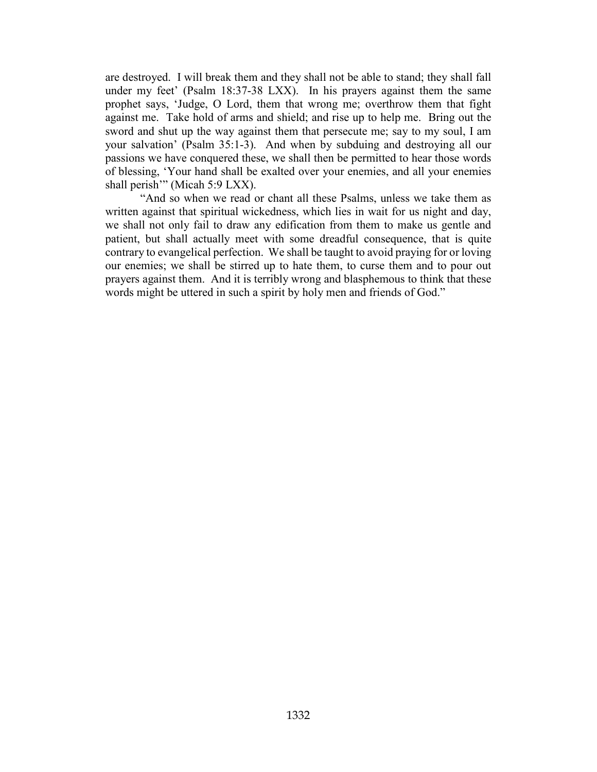are destroyed. I will break them and they shall not be able to stand; they shall fall under my feet' (Psalm 18:37-38 LXX). In his prayers against them the same prophet says, 'Judge, O Lord, them that wrong me; overthrow them that fight against me. Take hold of arms and shield; and rise up to help me. Bring out the sword and shut up the way against them that persecute me; say to my soul, I am your salvation' (Psalm 35:1-3). And when by subduing and destroying all our passions we have conquered these, we shall then be permitted to hear those words of blessing, 'Your hand shall be exalted over your enemies, and all your enemies shall perish"" (Micah 5:9 LXX).

"And so when we read or chant all these Psalms, unless we take them as written against that spiritual wickedness, which lies in wait for us night and day, we shall not only fail to draw any edification from them to make us gentle and patient, but shall actually meet with some dreadful consequence, that is quite contrary to evangelical perfection. We shall be taught to avoid praying for or loving our enemies; we shall be stirred up to hate them, to curse them and to pour out prayers against them. And it is terribly wrong and blasphemous to think that these words might be uttered in such a spirit by holy men and friends of God."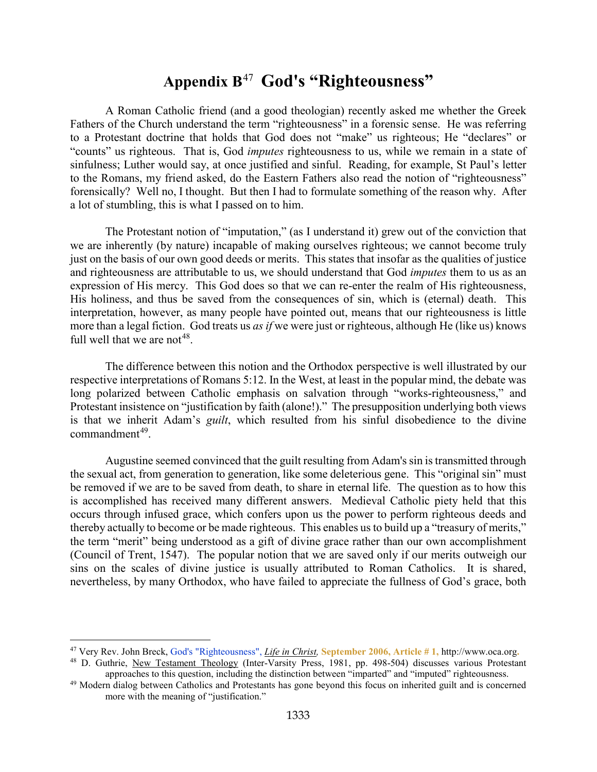## **Appendix B**[47](#page-33-1) **God's "Righteousness"**

<span id="page-33-0"></span>A Roman Catholic friend (and a good theologian) recently asked me whether the Greek Fathers of the Church understand the term "righteousness" in a forensic sense. He was referring to a Protestant doctrine that holds that God does not "make" us righteous; He "declares" or "counts" us righteous. That is, God *imputes* righteousness to us, while we remain in a state of sinfulness; Luther would say, at once justified and sinful. Reading, for example, St Paul's letter to the Romans, my friend asked, do the Eastern Fathers also read the notion of "righteousness" forensically? Well no, I thought. But then I had to formulate something of the reason why. After a lot of stumbling, this is what I passed on to him.

The Protestant notion of "imputation," (as I understand it) grew out of the conviction that we are inherently (by nature) incapable of making ourselves righteous; we cannot become truly just on the basis of our own good deeds or merits. This states that insofar as the qualities of justice and righteousness are attributable to us, we should understand that God *imputes* them to us as an expression of His mercy. This God does so that we can re-enter the realm of His righteousness, His holiness, and thus be saved from the consequences of sin, which is (eternal) death. This interpretation, however, as many people have pointed out, means that our righteousness is little more than a legal fiction. God treats us *as if* we were just or righteous, although He (like us) knows full well that we are not<sup>[48](#page-33-2)</sup>.

The difference between this notion and the Orthodox perspective is well illustrated by our respective interpretations of Romans 5:12. In the West, at least in the popular mind, the debate was long polarized between Catholic emphasis on salvation through "works-righteousness," and Protestant insistence on "justification by faith (alone!)." The presupposition underlying both views is that we inherit Adam's *guilt*, which resulted from his sinful disobedience to the divine  $commandment<sup>49</sup>$  $commandment<sup>49</sup>$  $commandment<sup>49</sup>$ .

Augustine seemed convinced that the guilt resulting from Adam's sin is transmitted through the sexual act, from generation to generation, like some deleterious gene. This "original sin" must be removed if we are to be saved from death, to share in eternal life. The question as to how this is accomplished has received many different answers. Medieval Catholic piety held that this occurs through infused grace, which confers upon us the power to perform righteous deeds and thereby actually to become or be made righteous. This enables us to build up a "treasury of merits," the term "merit" being understood as a gift of divine grace rather than our own accomplishment (Council of Trent, 1547). The popular notion that we are saved only if our merits outweigh our sins on the scales of divine justice is usually attributed to Roman Catholics. It is shared, nevertheless, by many Orthodox, who have failed to appreciate the fullness of God's grace, both

<span id="page-33-1"></span><sup>47</sup> Very Rev. John Breck, God's "Righteousness", *Life in Christ,* **September 2006, Article # 1,** http://www.oca.org**.**

<span id="page-33-2"></span><sup>&</sup>lt;sup>48</sup> D. Guthrie, New Testament Theology (Inter-Varsity Press, 1981, pp. 498-504) discusses various Protestant approaches to this question, including the distinction between "imparted" and "imputed" righteousness.

<span id="page-33-3"></span><sup>&</sup>lt;sup>49</sup> Modern dialog between Catholics and Protestants has gone beyond this focus on inherited guilt and is concerned more with the meaning of "justification."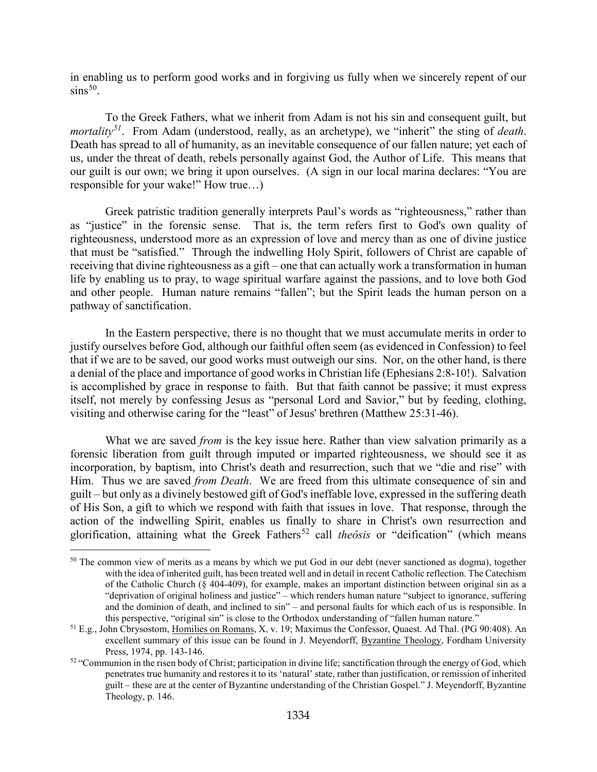in enabling us to perform good works and in forgiving us fully when we sincerely repent of our  $\sin s^{50}$  $\sin s^{50}$  $\sin s^{50}$ .

To the Greek Fathers, what we inherit from Adam is not his sin and consequent guilt, but *mortality[51](#page-34-1)*. From Adam (understood, really, as an archetype), we "inherit" the sting of *death*. Death has spread to all of humanity, as an inevitable consequence of our fallen nature; yet each of us, under the threat of death, rebels personally against God, the Author of Life. This means that our guilt is our own; we bring it upon ourselves. (A sign in our local marina declares: "You are responsible for your wake!" How true…)

Greek patristic tradition generally interprets Paul's words as "righteousness," rather than as "justice" in the forensic sense. That is, the term refers first to God's own quality of righteousness, understood more as an expression of love and mercy than as one of divine justice that must be "satisfied." Through the indwelling Holy Spirit, followers of Christ are capable of receiving that divine righteousness as a gift – one that can actually work a transformation in human life by enabling us to pray, to wage spiritual warfare against the passions, and to love both God and other people. Human nature remains "fallen"; but the Spirit leads the human person on a pathway of sanctification.

In the Eastern perspective, there is no thought that we must accumulate merits in order to justify ourselves before God, although our faithful often seem (as evidenced in Confession) to feel that if we are to be saved, our good works must outweigh our sins. Nor, on the other hand, is there a denial of the place and importance of good works in Christian life (Ephesians 2:8-10!). Salvation is accomplished by grace in response to faith. But that faith cannot be passive; it must express itself, not merely by confessing Jesus as "personal Lord and Savior," but by feeding, clothing, visiting and otherwise caring for the "least" of Jesus' brethren (Matthew 25:31-46).

What we are saved *from* is the key issue here. Rather than view salvation primarily as a forensic liberation from guilt through imputed or imparted righteousness, we should see it as incorporation, by baptism, into Christ's death and resurrection, such that we "die and rise" with Him. Thus we are saved *from Death*. We are freed from this ultimate consequence of sin and guilt – but only as a divinely bestowed gift of God's ineffable love, expressed in the suffering death of His Son, a gift to which we respond with faith that issues in love. That response, through the action of the indwelling Spirit, enables us finally to share in Christ's own resurrection and glorification, attaining what the Greek Fathers<sup>[52](#page-34-2)</sup> call *theôsis* or "deification" (which means

<span id="page-34-0"></span><sup>&</sup>lt;sup>50</sup> The common view of merits as a means by which we put God in our debt (never sanctioned as dogma), together with the idea of inherited guilt, has been treated well and in detail in recent Catholic reflection. The Catechism of the Catholic Church (§ 404-409), for example, makes an important distinction between original sin as a "deprivation of original holiness and justice" – which renders human nature "subject to ignorance, suffering and the dominion of death, and inclined to sin" – and personal faults for which each of us is responsible. In this perspective, "original sin" is close to the Orthodox understanding of "fallen human nature."

<span id="page-34-1"></span><sup>51</sup> E.g., John Cbrysostom, Homilies on Romans, X, v. 19; Maximus the Confessor, Quaest. Ad Thal. (PG 90:408). An excellent summary of this issue can be found in J. Meyendorff, Byzantine Theology, Fordham University Press, 1974, pp. 143-146.

<span id="page-34-2"></span> $52$  "Communion in the risen body of Christ; participation in divine life; sanctification through the energy of God, which penetrates true humanity and restores it to its 'natural' state, rather than justification, or remission of inherited guilt – these are at the center of Byzantine understanding of the Christian Gospel." J. Meyendorff, Byzantine Theology, p. 146.